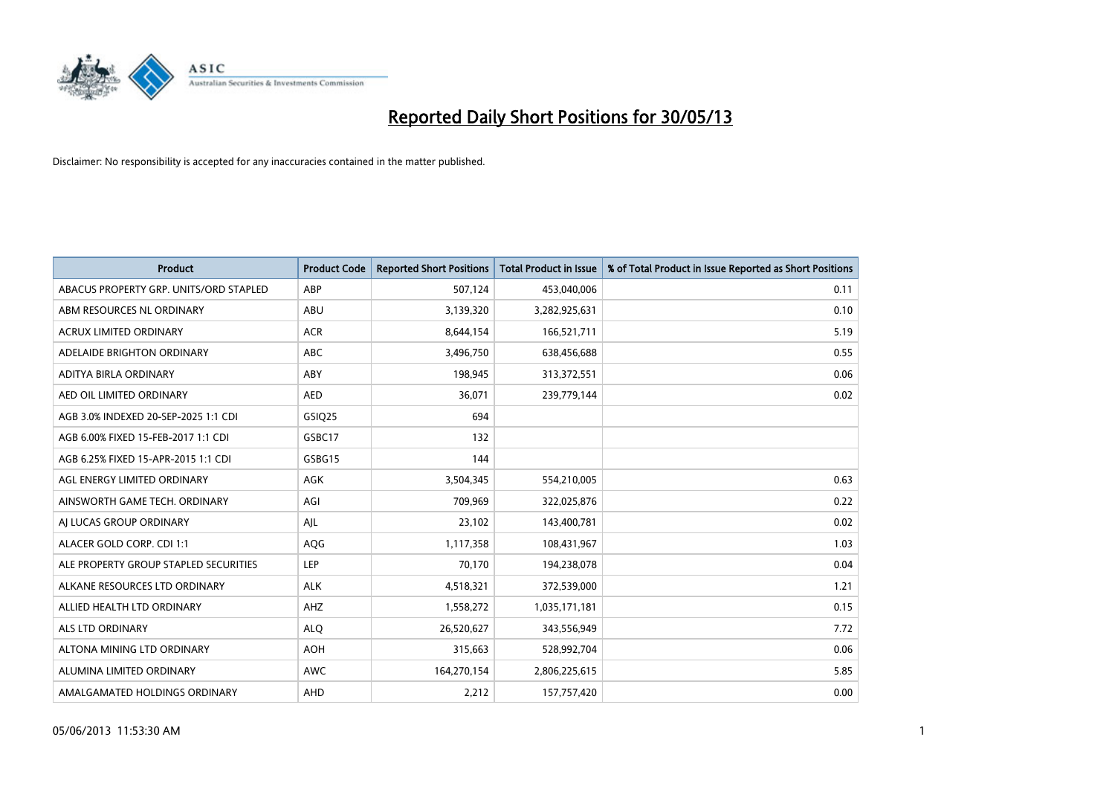

| <b>Product</b>                         | <b>Product Code</b> | <b>Reported Short Positions</b> | <b>Total Product in Issue</b> | % of Total Product in Issue Reported as Short Positions |
|----------------------------------------|---------------------|---------------------------------|-------------------------------|---------------------------------------------------------|
| ABACUS PROPERTY GRP. UNITS/ORD STAPLED | ABP                 | 507,124                         | 453,040,006                   | 0.11                                                    |
| ABM RESOURCES NL ORDINARY              | ABU                 | 3,139,320                       | 3,282,925,631                 | 0.10                                                    |
| <b>ACRUX LIMITED ORDINARY</b>          | <b>ACR</b>          | 8,644,154                       | 166,521,711                   | 5.19                                                    |
| ADELAIDE BRIGHTON ORDINARY             | <b>ABC</b>          | 3,496,750                       | 638,456,688                   | 0.55                                                    |
| ADITYA BIRLA ORDINARY                  | ABY                 | 198,945                         | 313,372,551                   | 0.06                                                    |
| AED OIL LIMITED ORDINARY               | <b>AED</b>          | 36,071                          | 239,779,144                   | 0.02                                                    |
| AGB 3.0% INDEXED 20-SEP-2025 1:1 CDI   | GSIQ25              | 694                             |                               |                                                         |
| AGB 6.00% FIXED 15-FEB-2017 1:1 CDI    | GSBC17              | 132                             |                               |                                                         |
| AGB 6.25% FIXED 15-APR-2015 1:1 CDI    | GSBG15              | 144                             |                               |                                                         |
| AGL ENERGY LIMITED ORDINARY            | AGK                 | 3,504,345                       | 554,210,005                   | 0.63                                                    |
| AINSWORTH GAME TECH. ORDINARY          | AGI                 | 709,969                         | 322,025,876                   | 0.22                                                    |
| AI LUCAS GROUP ORDINARY                | AJL                 | 23,102                          | 143,400,781                   | 0.02                                                    |
| ALACER GOLD CORP. CDI 1:1              | AQG                 | 1,117,358                       | 108,431,967                   | 1.03                                                    |
| ALE PROPERTY GROUP STAPLED SECURITIES  | <b>LEP</b>          | 70,170                          | 194,238,078                   | 0.04                                                    |
| ALKANE RESOURCES LTD ORDINARY          | <b>ALK</b>          | 4,518,321                       | 372,539,000                   | 1.21                                                    |
| ALLIED HEALTH LTD ORDINARY             | AHZ                 | 1,558,272                       | 1,035,171,181                 | 0.15                                                    |
| <b>ALS LTD ORDINARY</b>                | <b>ALO</b>          | 26,520,627                      | 343,556,949                   | 7.72                                                    |
| ALTONA MINING LTD ORDINARY             | <b>AOH</b>          | 315,663                         | 528,992,704                   | 0.06                                                    |
| ALUMINA LIMITED ORDINARY               | <b>AWC</b>          | 164,270,154                     | 2,806,225,615                 | 5.85                                                    |
| AMALGAMATED HOLDINGS ORDINARY          | <b>AHD</b>          | 2,212                           | 157,757,420                   | 0.00                                                    |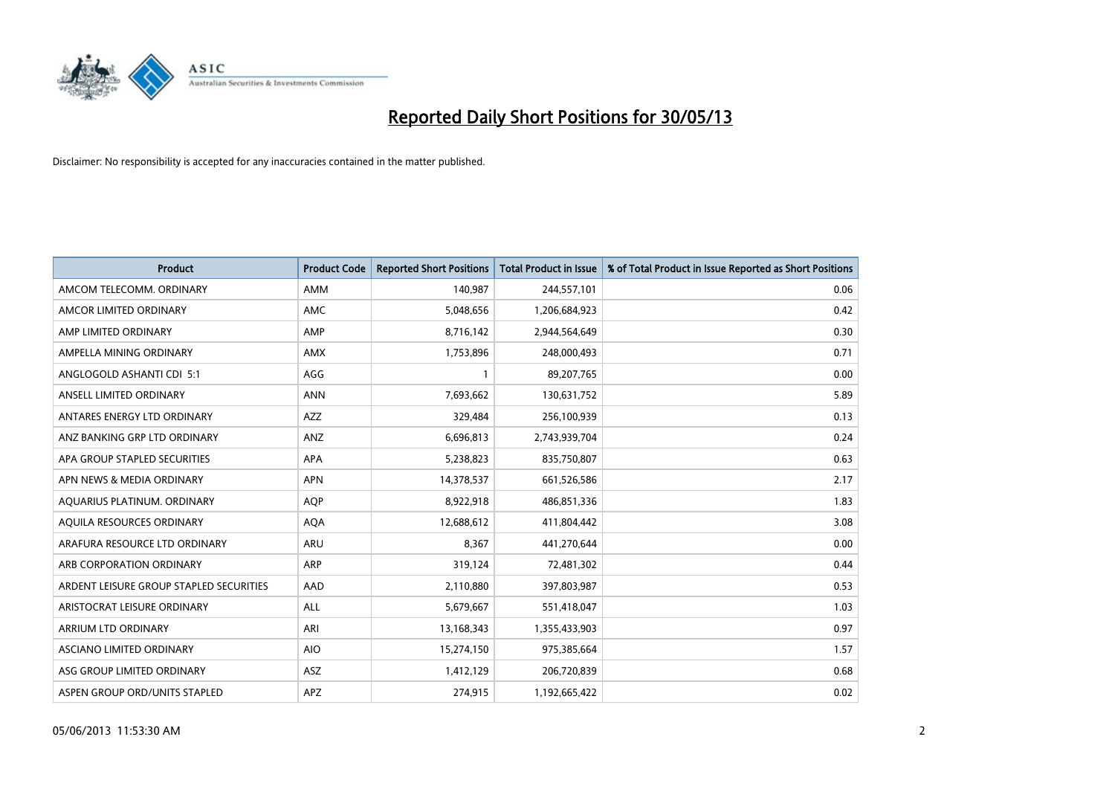

| <b>Product</b>                          | <b>Product Code</b> | <b>Reported Short Positions</b> | <b>Total Product in Issue</b> | % of Total Product in Issue Reported as Short Positions |
|-----------------------------------------|---------------------|---------------------------------|-------------------------------|---------------------------------------------------------|
| AMCOM TELECOMM, ORDINARY                | AMM                 | 140,987                         | 244,557,101                   | 0.06                                                    |
| AMCOR LIMITED ORDINARY                  | AMC                 | 5,048,656                       | 1,206,684,923                 | 0.42                                                    |
| AMP LIMITED ORDINARY                    | AMP                 | 8,716,142                       | 2,944,564,649                 | 0.30                                                    |
| AMPELLA MINING ORDINARY                 | AMX                 | 1,753,896                       | 248,000,493                   | 0.71                                                    |
| ANGLOGOLD ASHANTI CDI 5:1               | AGG                 | $\mathbf{1}$                    | 89,207,765                    | 0.00                                                    |
| ANSELL LIMITED ORDINARY                 | <b>ANN</b>          | 7,693,662                       | 130,631,752                   | 5.89                                                    |
| ANTARES ENERGY LTD ORDINARY             | AZZ                 | 329,484                         | 256,100,939                   | 0.13                                                    |
| ANZ BANKING GRP LTD ORDINARY            | ANZ                 | 6,696,813                       | 2,743,939,704                 | 0.24                                                    |
| APA GROUP STAPLED SECURITIES            | <b>APA</b>          | 5,238,823                       | 835,750,807                   | 0.63                                                    |
| APN NEWS & MEDIA ORDINARY               | <b>APN</b>          | 14,378,537                      | 661,526,586                   | 2.17                                                    |
| AQUARIUS PLATINUM. ORDINARY             | <b>AOP</b>          | 8,922,918                       | 486,851,336                   | 1.83                                                    |
| AQUILA RESOURCES ORDINARY               | <b>AQA</b>          | 12,688,612                      | 411,804,442                   | 3.08                                                    |
| ARAFURA RESOURCE LTD ORDINARY           | ARU                 | 8,367                           | 441,270,644                   | 0.00                                                    |
| ARB CORPORATION ORDINARY                | ARP                 | 319,124                         | 72,481,302                    | 0.44                                                    |
| ARDENT LEISURE GROUP STAPLED SECURITIES | AAD                 | 2,110,880                       | 397,803,987                   | 0.53                                                    |
| ARISTOCRAT LEISURE ORDINARY             | ALL                 | 5,679,667                       | 551,418,047                   | 1.03                                                    |
| ARRIUM LTD ORDINARY                     | ARI                 | 13,168,343                      | 1,355,433,903                 | 0.97                                                    |
| ASCIANO LIMITED ORDINARY                | <b>AIO</b>          | 15,274,150                      | 975,385,664                   | 1.57                                                    |
| ASG GROUP LIMITED ORDINARY              | ASZ                 | 1,412,129                       | 206,720,839                   | 0.68                                                    |
| ASPEN GROUP ORD/UNITS STAPLED           | APZ                 | 274,915                         | 1,192,665,422                 | 0.02                                                    |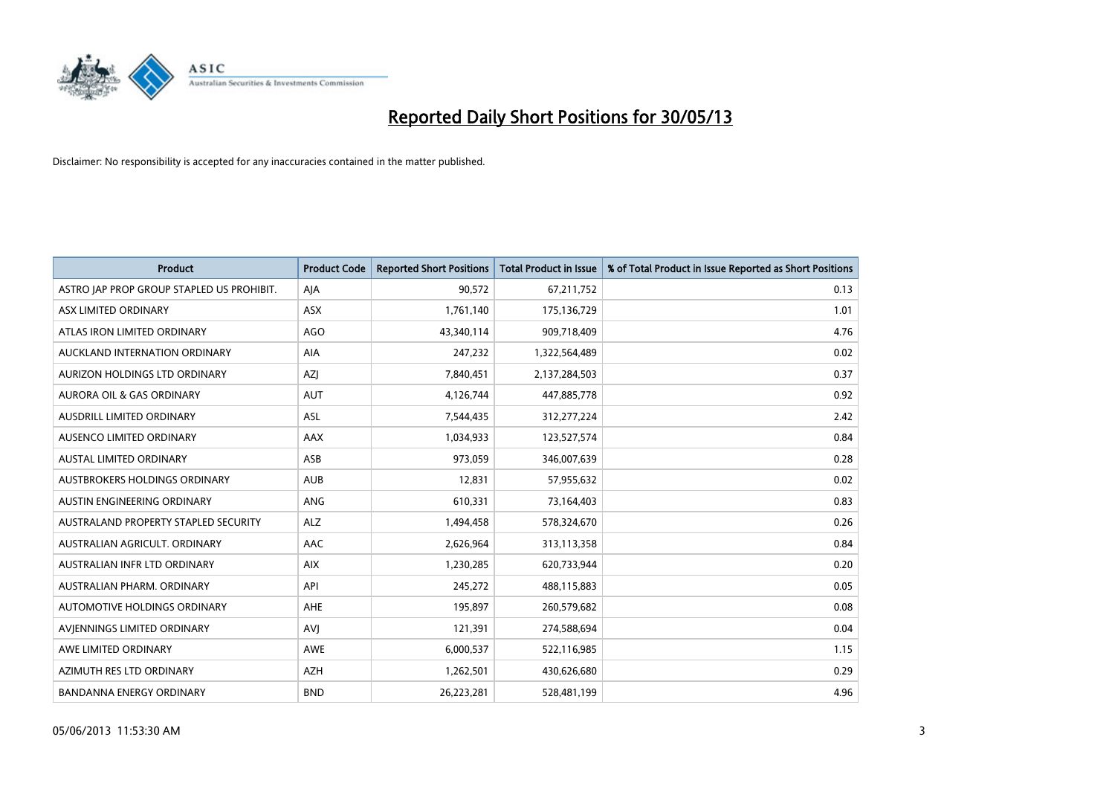

| <b>Product</b>                            | <b>Product Code</b> | <b>Reported Short Positions</b> | <b>Total Product in Issue</b> | % of Total Product in Issue Reported as Short Positions |
|-------------------------------------------|---------------------|---------------------------------|-------------------------------|---------------------------------------------------------|
| ASTRO JAP PROP GROUP STAPLED US PROHIBIT. | AJA                 | 90,572                          | 67,211,752                    | 0.13                                                    |
| ASX LIMITED ORDINARY                      | ASX                 | 1,761,140                       | 175,136,729                   | 1.01                                                    |
| ATLAS IRON LIMITED ORDINARY               | <b>AGO</b>          | 43,340,114                      | 909,718,409                   | 4.76                                                    |
| AUCKLAND INTERNATION ORDINARY             | <b>AIA</b>          | 247,232                         | 1,322,564,489                 | 0.02                                                    |
| AURIZON HOLDINGS LTD ORDINARY             | AZJ                 | 7,840,451                       | 2,137,284,503                 | 0.37                                                    |
| <b>AURORA OIL &amp; GAS ORDINARY</b>      | <b>AUT</b>          | 4,126,744                       | 447,885,778                   | 0.92                                                    |
| AUSDRILL LIMITED ORDINARY                 | ASL                 | 7,544,435                       | 312,277,224                   | 2.42                                                    |
| AUSENCO LIMITED ORDINARY                  | AAX                 | 1,034,933                       | 123,527,574                   | 0.84                                                    |
| <b>AUSTAL LIMITED ORDINARY</b>            | ASB                 | 973,059                         | 346,007,639                   | 0.28                                                    |
| AUSTBROKERS HOLDINGS ORDINARY             | <b>AUB</b>          | 12,831                          | 57,955,632                    | 0.02                                                    |
| AUSTIN ENGINEERING ORDINARY               | ANG                 | 610,331                         | 73,164,403                    | 0.83                                                    |
| AUSTRALAND PROPERTY STAPLED SECURITY      | <b>ALZ</b>          | 1,494,458                       | 578,324,670                   | 0.26                                                    |
| AUSTRALIAN AGRICULT, ORDINARY             | AAC                 | 2,626,964                       | 313,113,358                   | 0.84                                                    |
| AUSTRALIAN INFR LTD ORDINARY              | <b>AIX</b>          | 1,230,285                       | 620,733,944                   | 0.20                                                    |
| AUSTRALIAN PHARM, ORDINARY                | API                 | 245,272                         | 488,115,883                   | 0.05                                                    |
| AUTOMOTIVE HOLDINGS ORDINARY              | AHE                 | 195,897                         | 260,579,682                   | 0.08                                                    |
| AVIENNINGS LIMITED ORDINARY               | <b>AVJ</b>          | 121,391                         | 274,588,694                   | 0.04                                                    |
| AWE LIMITED ORDINARY                      | <b>AWE</b>          | 6,000,537                       | 522,116,985                   | 1.15                                                    |
| AZIMUTH RES LTD ORDINARY                  | <b>AZH</b>          | 1,262,501                       | 430,626,680                   | 0.29                                                    |
| <b>BANDANNA ENERGY ORDINARY</b>           | <b>BND</b>          | 26,223,281                      | 528,481,199                   | 4.96                                                    |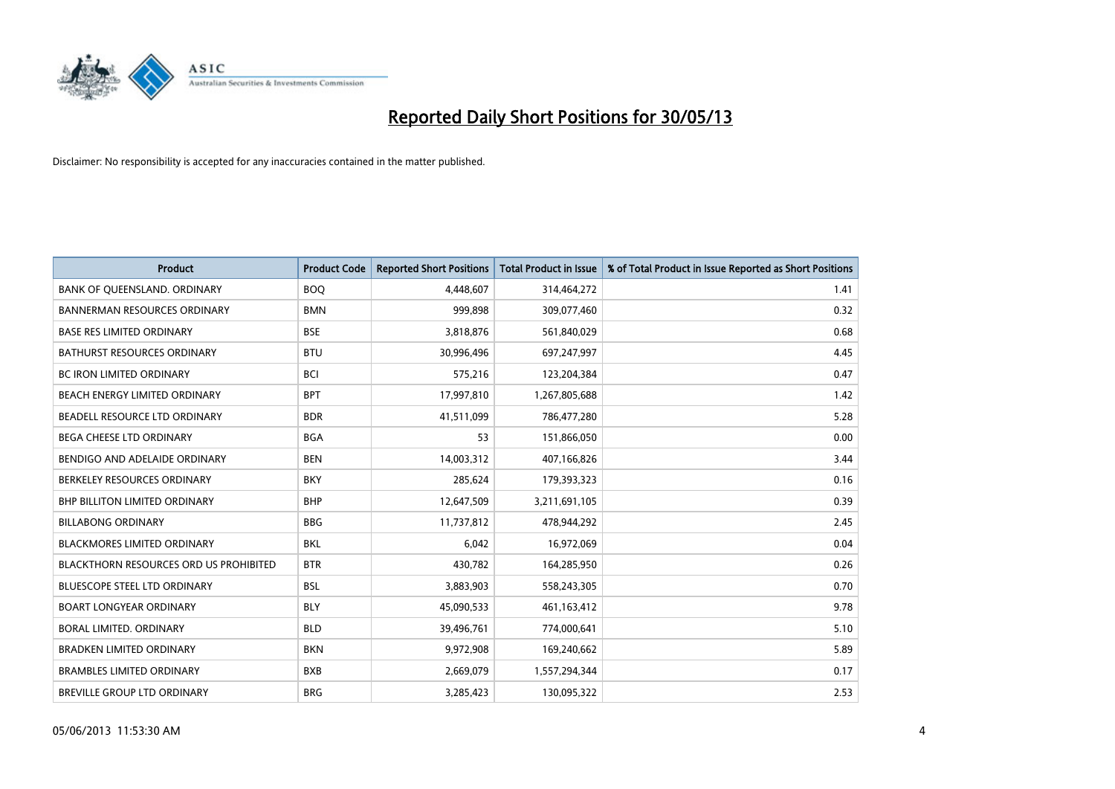

| <b>Product</b>                                | <b>Product Code</b> | <b>Reported Short Positions</b> | <b>Total Product in Issue</b> | % of Total Product in Issue Reported as Short Positions |
|-----------------------------------------------|---------------------|---------------------------------|-------------------------------|---------------------------------------------------------|
| BANK OF QUEENSLAND. ORDINARY                  | <b>BOQ</b>          | 4,448,607                       | 314,464,272                   | 1.41                                                    |
| BANNERMAN RESOURCES ORDINARY                  | <b>BMN</b>          | 999,898                         | 309,077,460                   | 0.32                                                    |
| <b>BASE RES LIMITED ORDINARY</b>              | <b>BSE</b>          | 3,818,876                       | 561,840,029                   | 0.68                                                    |
| BATHURST RESOURCES ORDINARY                   | <b>BTU</b>          | 30,996,496                      | 697,247,997                   | 4.45                                                    |
| <b>BC IRON LIMITED ORDINARY</b>               | <b>BCI</b>          | 575,216                         | 123,204,384                   | 0.47                                                    |
| BEACH ENERGY LIMITED ORDINARY                 | <b>BPT</b>          | 17,997,810                      | 1,267,805,688                 | 1.42                                                    |
| BEADELL RESOURCE LTD ORDINARY                 | <b>BDR</b>          | 41,511,099                      | 786,477,280                   | 5.28                                                    |
| BEGA CHEESE LTD ORDINARY                      | <b>BGA</b>          | 53                              | 151,866,050                   | 0.00                                                    |
| BENDIGO AND ADELAIDE ORDINARY                 | <b>BEN</b>          | 14,003,312                      | 407,166,826                   | 3.44                                                    |
| BERKELEY RESOURCES ORDINARY                   | <b>BKY</b>          | 285,624                         | 179,393,323                   | 0.16                                                    |
| <b>BHP BILLITON LIMITED ORDINARY</b>          | <b>BHP</b>          | 12,647,509                      | 3,211,691,105                 | 0.39                                                    |
| <b>BILLABONG ORDINARY</b>                     | <b>BBG</b>          | 11,737,812                      | 478,944,292                   | 2.45                                                    |
| <b>BLACKMORES LIMITED ORDINARY</b>            | <b>BKL</b>          | 6,042                           | 16,972,069                    | 0.04                                                    |
| <b>BLACKTHORN RESOURCES ORD US PROHIBITED</b> | <b>BTR</b>          | 430,782                         | 164,285,950                   | 0.26                                                    |
| <b>BLUESCOPE STEEL LTD ORDINARY</b>           | <b>BSL</b>          | 3,883,903                       | 558,243,305                   | 0.70                                                    |
| <b>BOART LONGYEAR ORDINARY</b>                | <b>BLY</b>          | 45,090,533                      | 461,163,412                   | 9.78                                                    |
| BORAL LIMITED. ORDINARY                       | <b>BLD</b>          | 39,496,761                      | 774,000,641                   | 5.10                                                    |
| <b>BRADKEN LIMITED ORDINARY</b>               | <b>BKN</b>          | 9,972,908                       | 169,240,662                   | 5.89                                                    |
| <b>BRAMBLES LIMITED ORDINARY</b>              | <b>BXB</b>          | 2,669,079                       | 1,557,294,344                 | 0.17                                                    |
| BREVILLE GROUP LTD ORDINARY                   | <b>BRG</b>          | 3,285,423                       | 130,095,322                   | 2.53                                                    |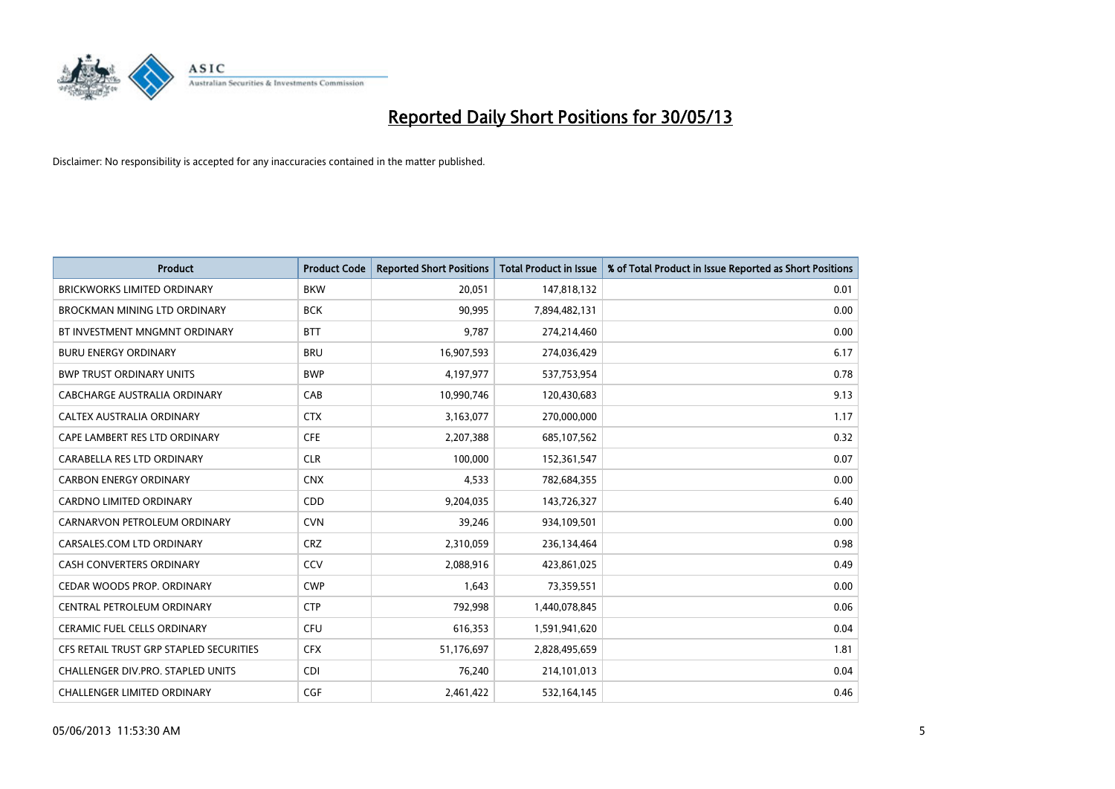

| <b>Product</b>                          | <b>Product Code</b> | <b>Reported Short Positions</b> | <b>Total Product in Issue</b> | % of Total Product in Issue Reported as Short Positions |
|-----------------------------------------|---------------------|---------------------------------|-------------------------------|---------------------------------------------------------|
| <b>BRICKWORKS LIMITED ORDINARY</b>      | <b>BKW</b>          | 20,051                          | 147,818,132                   | 0.01                                                    |
| BROCKMAN MINING LTD ORDINARY            | <b>BCK</b>          | 90,995                          | 7,894,482,131                 | 0.00                                                    |
| BT INVESTMENT MNGMNT ORDINARY           | <b>BTT</b>          | 9,787                           | 274,214,460                   | 0.00                                                    |
| <b>BURU ENERGY ORDINARY</b>             | <b>BRU</b>          | 16,907,593                      | 274,036,429                   | 6.17                                                    |
| <b>BWP TRUST ORDINARY UNITS</b>         | <b>BWP</b>          | 4,197,977                       | 537,753,954                   | 0.78                                                    |
| <b>CABCHARGE AUSTRALIA ORDINARY</b>     | CAB                 | 10,990,746                      | 120,430,683                   | 9.13                                                    |
| CALTEX AUSTRALIA ORDINARY               | <b>CTX</b>          | 3,163,077                       | 270,000,000                   | 1.17                                                    |
| CAPE LAMBERT RES LTD ORDINARY           | <b>CFE</b>          | 2,207,388                       | 685,107,562                   | 0.32                                                    |
| CARABELLA RES LTD ORDINARY              | <b>CLR</b>          | 100.000                         | 152,361,547                   | 0.07                                                    |
| <b>CARBON ENERGY ORDINARY</b>           | <b>CNX</b>          | 4,533                           | 782,684,355                   | 0.00                                                    |
| CARDNO LIMITED ORDINARY                 | CDD                 | 9,204,035                       | 143,726,327                   | 6.40                                                    |
| CARNARVON PETROLEUM ORDINARY            | <b>CVN</b>          | 39,246                          | 934,109,501                   | 0.00                                                    |
| CARSALES.COM LTD ORDINARY               | <b>CRZ</b>          | 2,310,059                       | 236,134,464                   | 0.98                                                    |
| <b>CASH CONVERTERS ORDINARY</b>         | CCV                 | 2,088,916                       | 423,861,025                   | 0.49                                                    |
| CEDAR WOODS PROP. ORDINARY              | <b>CWP</b>          | 1,643                           | 73,359,551                    | 0.00                                                    |
| CENTRAL PETROLEUM ORDINARY              | <b>CTP</b>          | 792,998                         | 1,440,078,845                 | 0.06                                                    |
| CERAMIC FUEL CELLS ORDINARY             | <b>CFU</b>          | 616,353                         | 1,591,941,620                 | 0.04                                                    |
| CFS RETAIL TRUST GRP STAPLED SECURITIES | <b>CFX</b>          | 51,176,697                      | 2,828,495,659                 | 1.81                                                    |
| CHALLENGER DIV.PRO. STAPLED UNITS       | <b>CDI</b>          | 76,240                          | 214,101,013                   | 0.04                                                    |
| CHALLENGER LIMITED ORDINARY             | <b>CGF</b>          | 2,461,422                       | 532,164,145                   | 0.46                                                    |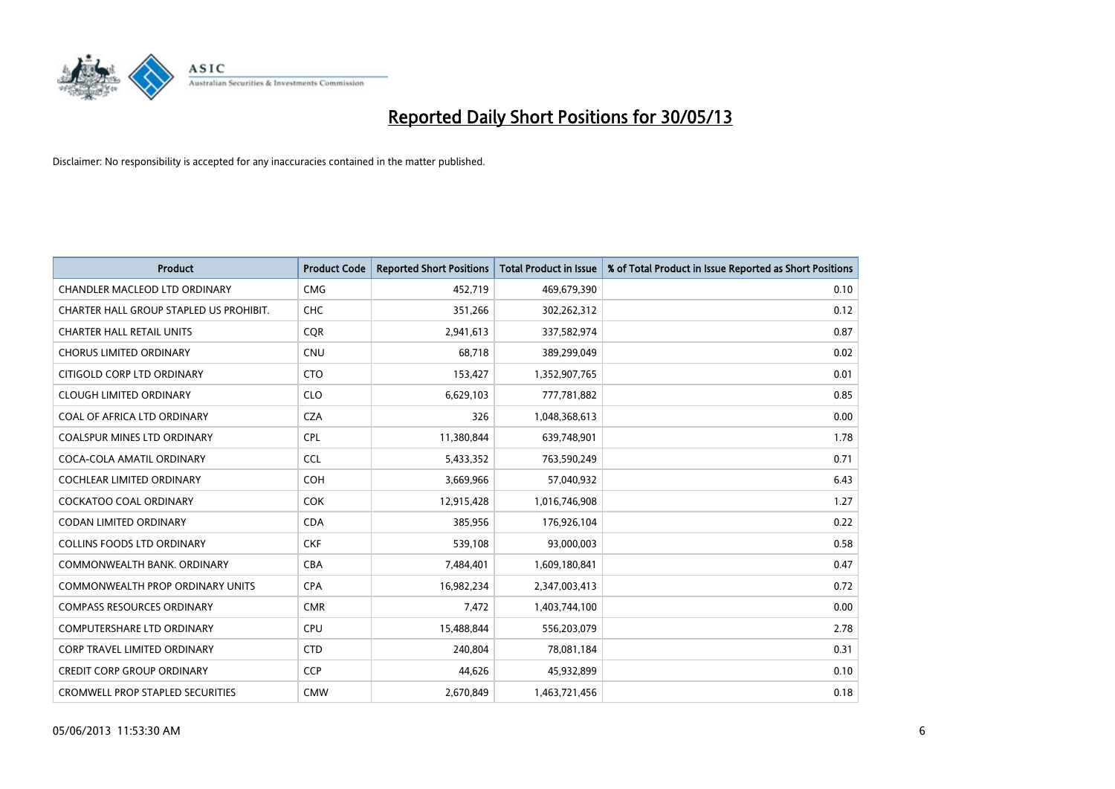

| <b>Product</b>                          | <b>Product Code</b> | <b>Reported Short Positions</b> | <b>Total Product in Issue</b> | % of Total Product in Issue Reported as Short Positions |
|-----------------------------------------|---------------------|---------------------------------|-------------------------------|---------------------------------------------------------|
| <b>CHANDLER MACLEOD LTD ORDINARY</b>    | <b>CMG</b>          | 452,719                         | 469,679,390                   | 0.10                                                    |
| CHARTER HALL GROUP STAPLED US PROHIBIT. | <b>CHC</b>          | 351,266                         | 302,262,312                   | 0.12                                                    |
| <b>CHARTER HALL RETAIL UNITS</b>        | <b>CQR</b>          | 2,941,613                       | 337,582,974                   | 0.87                                                    |
| <b>CHORUS LIMITED ORDINARY</b>          | <b>CNU</b>          | 68,718                          | 389,299,049                   | 0.02                                                    |
| CITIGOLD CORP LTD ORDINARY              | <b>CTO</b>          | 153,427                         | 1,352,907,765                 | 0.01                                                    |
| <b>CLOUGH LIMITED ORDINARY</b>          | <b>CLO</b>          | 6,629,103                       | 777,781,882                   | 0.85                                                    |
| COAL OF AFRICA LTD ORDINARY             | <b>CZA</b>          | 326                             | 1,048,368,613                 | 0.00                                                    |
| <b>COALSPUR MINES LTD ORDINARY</b>      | <b>CPL</b>          | 11,380,844                      | 639,748,901                   | 1.78                                                    |
| COCA-COLA AMATIL ORDINARY               | <b>CCL</b>          | 5,433,352                       | 763,590,249                   | 0.71                                                    |
| <b>COCHLEAR LIMITED ORDINARY</b>        | <b>COH</b>          | 3,669,966                       | 57,040,932                    | 6.43                                                    |
| <b>COCKATOO COAL ORDINARY</b>           | COK                 | 12,915,428                      | 1,016,746,908                 | 1.27                                                    |
| <b>CODAN LIMITED ORDINARY</b>           | <b>CDA</b>          | 385,956                         | 176,926,104                   | 0.22                                                    |
| <b>COLLINS FOODS LTD ORDINARY</b>       | <b>CKF</b>          | 539,108                         | 93,000,003                    | 0.58                                                    |
| COMMONWEALTH BANK, ORDINARY             | <b>CBA</b>          | 7,484,401                       | 1,609,180,841                 | 0.47                                                    |
| COMMONWEALTH PROP ORDINARY UNITS        | <b>CPA</b>          | 16,982,234                      | 2,347,003,413                 | 0.72                                                    |
| <b>COMPASS RESOURCES ORDINARY</b>       | <b>CMR</b>          | 7,472                           | 1,403,744,100                 | 0.00                                                    |
| <b>COMPUTERSHARE LTD ORDINARY</b>       | <b>CPU</b>          | 15,488,844                      | 556,203,079                   | 2.78                                                    |
| <b>CORP TRAVEL LIMITED ORDINARY</b>     | <b>CTD</b>          | 240,804                         | 78,081,184                    | 0.31                                                    |
| <b>CREDIT CORP GROUP ORDINARY</b>       | <b>CCP</b>          | 44,626                          | 45,932,899                    | 0.10                                                    |
| <b>CROMWELL PROP STAPLED SECURITIES</b> | <b>CMW</b>          | 2,670,849                       | 1,463,721,456                 | 0.18                                                    |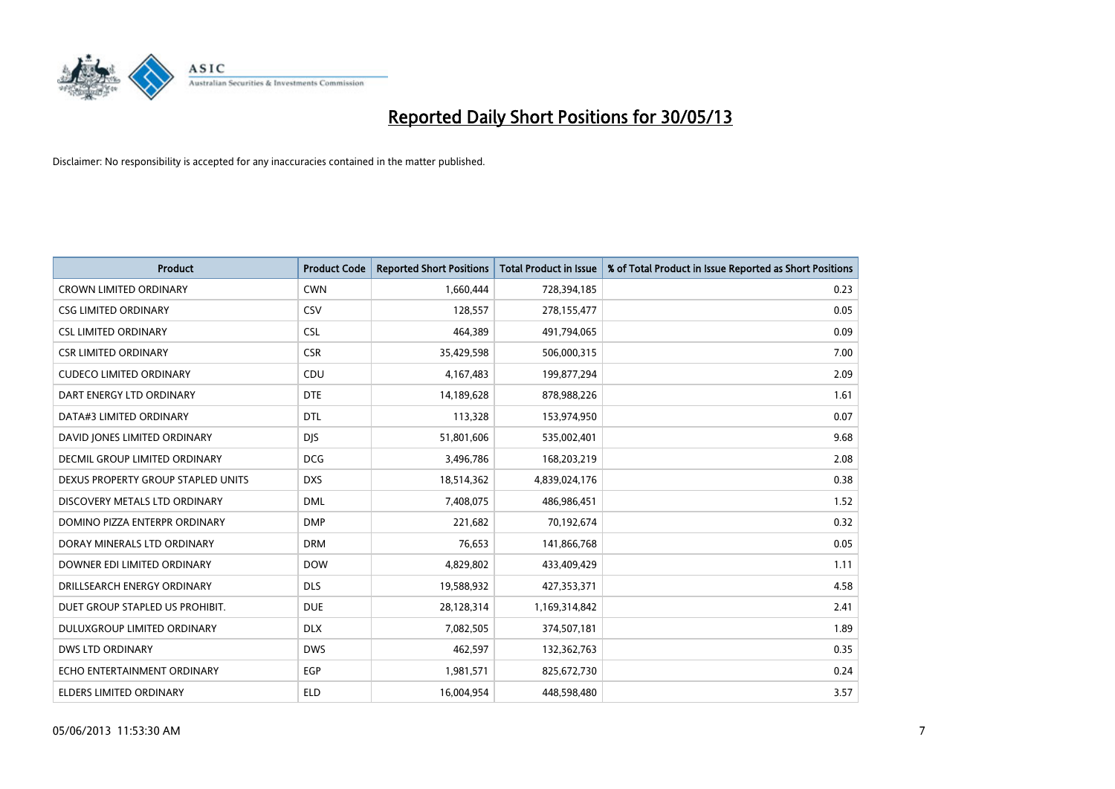

| <b>Product</b>                       | <b>Product Code</b> | <b>Reported Short Positions</b> | <b>Total Product in Issue</b> | % of Total Product in Issue Reported as Short Positions |
|--------------------------------------|---------------------|---------------------------------|-------------------------------|---------------------------------------------------------|
| <b>CROWN LIMITED ORDINARY</b>        | <b>CWN</b>          | 1,660,444                       | 728,394,185                   | 0.23                                                    |
| <b>CSG LIMITED ORDINARY</b>          | CSV                 | 128,557                         | 278,155,477                   | 0.05                                                    |
| <b>CSL LIMITED ORDINARY</b>          | <b>CSL</b>          | 464,389                         | 491,794,065                   | 0.09                                                    |
| <b>CSR LIMITED ORDINARY</b>          | <b>CSR</b>          | 35,429,598                      | 506,000,315                   | 7.00                                                    |
| <b>CUDECO LIMITED ORDINARY</b>       | CDU                 | 4,167,483                       | 199,877,294                   | 2.09                                                    |
| DART ENERGY LTD ORDINARY             | <b>DTE</b>          | 14,189,628                      | 878,988,226                   | 1.61                                                    |
| DATA#3 LIMITED ORDINARY              | <b>DTL</b>          | 113,328                         | 153,974,950                   | 0.07                                                    |
| DAVID JONES LIMITED ORDINARY         | <b>DJS</b>          | 51,801,606                      | 535,002,401                   | 9.68                                                    |
| <b>DECMIL GROUP LIMITED ORDINARY</b> | <b>DCG</b>          | 3,496,786                       | 168,203,219                   | 2.08                                                    |
| DEXUS PROPERTY GROUP STAPLED UNITS   | <b>DXS</b>          | 18,514,362                      | 4,839,024,176                 | 0.38                                                    |
| DISCOVERY METALS LTD ORDINARY        | <b>DML</b>          | 7,408,075                       | 486,986,451                   | 1.52                                                    |
| DOMINO PIZZA ENTERPR ORDINARY        | <b>DMP</b>          | 221,682                         | 70,192,674                    | 0.32                                                    |
| DORAY MINERALS LTD ORDINARY          | <b>DRM</b>          | 76,653                          | 141,866,768                   | 0.05                                                    |
| DOWNER EDI LIMITED ORDINARY          | <b>DOW</b>          | 4,829,802                       | 433,409,429                   | 1.11                                                    |
| DRILLSEARCH ENERGY ORDINARY          | <b>DLS</b>          | 19,588,932                      | 427,353,371                   | 4.58                                                    |
| DUET GROUP STAPLED US PROHIBIT.      | <b>DUE</b>          | 28,128,314                      | 1,169,314,842                 | 2.41                                                    |
| DULUXGROUP LIMITED ORDINARY          | <b>DLX</b>          | 7,082,505                       | 374,507,181                   | 1.89                                                    |
| DWS LTD ORDINARY                     | <b>DWS</b>          | 462,597                         | 132,362,763                   | 0.35                                                    |
| ECHO ENTERTAINMENT ORDINARY          | EGP                 | 1,981,571                       | 825,672,730                   | 0.24                                                    |
| ELDERS LIMITED ORDINARY              | <b>ELD</b>          | 16,004,954                      | 448,598,480                   | 3.57                                                    |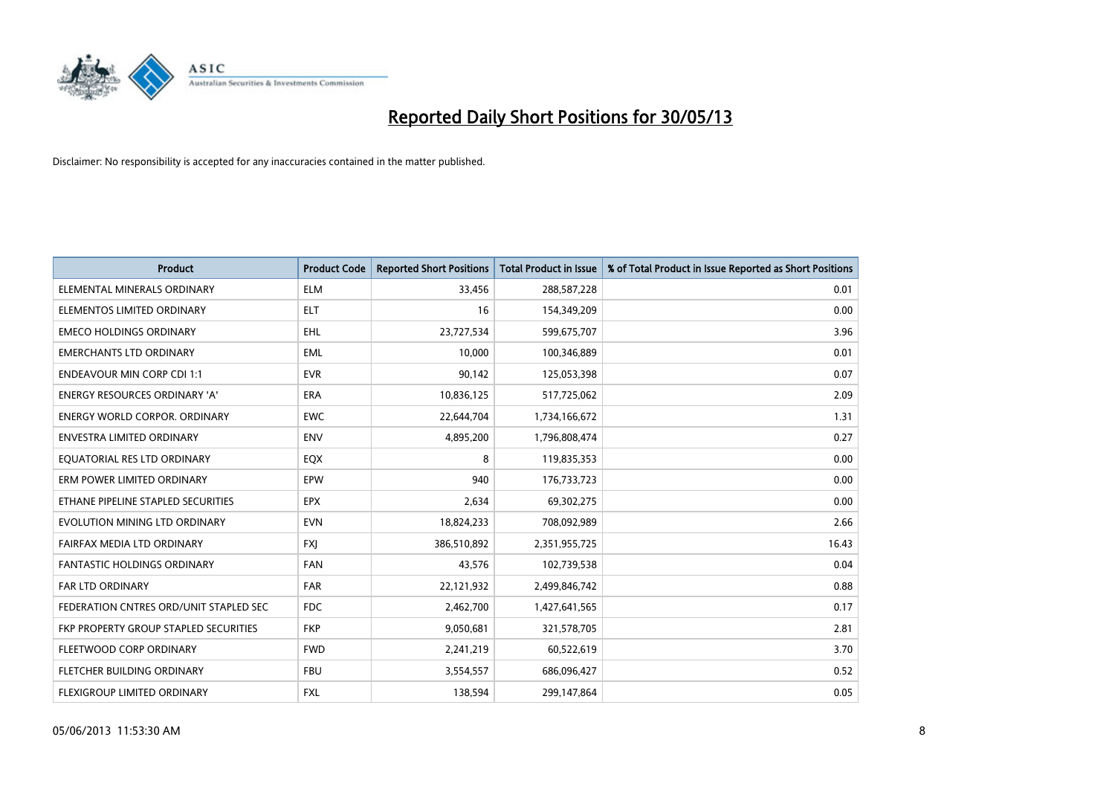

| <b>Product</b>                         | <b>Product Code</b> | <b>Reported Short Positions</b> | <b>Total Product in Issue</b> | % of Total Product in Issue Reported as Short Positions |
|----------------------------------------|---------------------|---------------------------------|-------------------------------|---------------------------------------------------------|
| ELEMENTAL MINERALS ORDINARY            | <b>ELM</b>          | 33,456                          | 288,587,228                   | 0.01                                                    |
| ELEMENTOS LIMITED ORDINARY             | ELT                 | 16                              | 154,349,209                   | 0.00                                                    |
| <b>EMECO HOLDINGS ORDINARY</b>         | <b>EHL</b>          | 23,727,534                      | 599,675,707                   | 3.96                                                    |
| <b>EMERCHANTS LTD ORDINARY</b>         | EML                 | 10,000                          | 100,346,889                   | 0.01                                                    |
| <b>ENDEAVOUR MIN CORP CDI 1:1</b>      | <b>EVR</b>          | 90,142                          | 125,053,398                   | 0.07                                                    |
| ENERGY RESOURCES ORDINARY 'A'          | <b>ERA</b>          | 10,836,125                      | 517,725,062                   | 2.09                                                    |
| <b>ENERGY WORLD CORPOR, ORDINARY</b>   | <b>EWC</b>          | 22,644,704                      | 1,734,166,672                 | 1.31                                                    |
| <b>ENVESTRA LIMITED ORDINARY</b>       | <b>ENV</b>          | 4,895,200                       | 1,796,808,474                 | 0.27                                                    |
| EQUATORIAL RES LTD ORDINARY            | EQX                 | 8                               | 119,835,353                   | 0.00                                                    |
| ERM POWER LIMITED ORDINARY             | EPW                 | 940                             | 176,733,723                   | 0.00                                                    |
| ETHANE PIPELINE STAPLED SECURITIES     | <b>EPX</b>          | 2,634                           | 69,302,275                    | 0.00                                                    |
| EVOLUTION MINING LTD ORDINARY          | <b>EVN</b>          | 18,824,233                      | 708,092,989                   | 2.66                                                    |
| FAIRFAX MEDIA LTD ORDINARY             | <b>FXI</b>          | 386,510,892                     | 2,351,955,725                 | 16.43                                                   |
| <b>FANTASTIC HOLDINGS ORDINARY</b>     | <b>FAN</b>          | 43,576                          | 102,739,538                   | 0.04                                                    |
| FAR LTD ORDINARY                       | <b>FAR</b>          | 22,121,932                      | 2,499,846,742                 | 0.88                                                    |
| FEDERATION CNTRES ORD/UNIT STAPLED SEC | <b>FDC</b>          | 2,462,700                       | 1,427,641,565                 | 0.17                                                    |
| FKP PROPERTY GROUP STAPLED SECURITIES  | <b>FKP</b>          | 9,050,681                       | 321,578,705                   | 2.81                                                    |
| FLEETWOOD CORP ORDINARY                | <b>FWD</b>          | 2,241,219                       | 60,522,619                    | 3.70                                                    |
| FLETCHER BUILDING ORDINARY             | <b>FBU</b>          | 3,554,557                       | 686,096,427                   | 0.52                                                    |
| FLEXIGROUP LIMITED ORDINARY            | FXL                 | 138,594                         | 299,147,864                   | 0.05                                                    |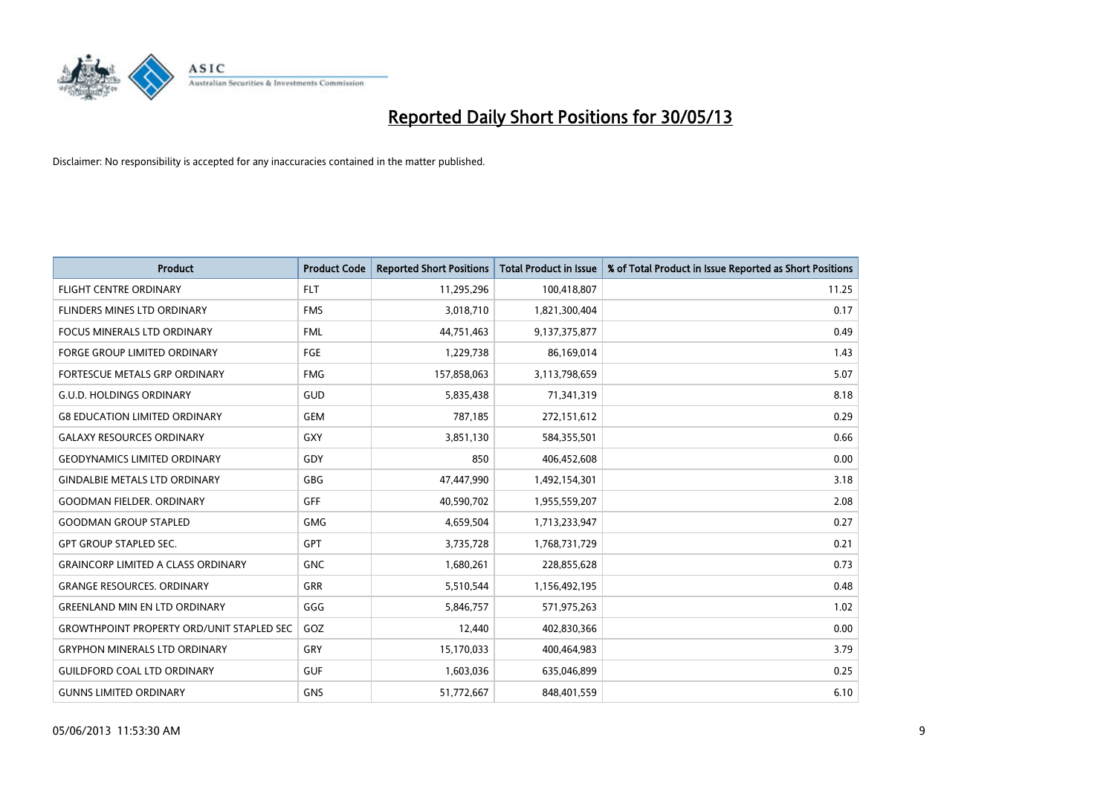

| <b>Product</b>                                   | <b>Product Code</b> | <b>Reported Short Positions</b> | <b>Total Product in Issue</b> | % of Total Product in Issue Reported as Short Positions |
|--------------------------------------------------|---------------------|---------------------------------|-------------------------------|---------------------------------------------------------|
| <b>FLIGHT CENTRE ORDINARY</b>                    | <b>FLT</b>          | 11,295,296                      | 100,418,807                   | 11.25                                                   |
| FLINDERS MINES LTD ORDINARY                      | <b>FMS</b>          | 3,018,710                       | 1,821,300,404                 | 0.17                                                    |
| <b>FOCUS MINERALS LTD ORDINARY</b>               | <b>FML</b>          | 44,751,463                      | 9,137,375,877                 | 0.49                                                    |
| FORGE GROUP LIMITED ORDINARY                     | <b>FGE</b>          | 1,229,738                       | 86,169,014                    | 1.43                                                    |
| FORTESCUE METALS GRP ORDINARY                    | <b>FMG</b>          | 157,858,063                     | 3,113,798,659                 | 5.07                                                    |
| <b>G.U.D. HOLDINGS ORDINARY</b>                  | GUD                 | 5,835,438                       | 71,341,319                    | 8.18                                                    |
| <b>G8 EDUCATION LIMITED ORDINARY</b>             | <b>GEM</b>          | 787,185                         | 272,151,612                   | 0.29                                                    |
| <b>GALAXY RESOURCES ORDINARY</b>                 | <b>GXY</b>          | 3,851,130                       | 584,355,501                   | 0.66                                                    |
| <b>GEODYNAMICS LIMITED ORDINARY</b>              | GDY                 | 850                             | 406,452,608                   | 0.00                                                    |
| <b>GINDALBIE METALS LTD ORDINARY</b>             | GBG                 | 47,447,990                      | 1,492,154,301                 | 3.18                                                    |
| <b>GOODMAN FIELDER. ORDINARY</b>                 | GFF                 | 40,590,702                      | 1,955,559,207                 | 2.08                                                    |
| <b>GOODMAN GROUP STAPLED</b>                     | <b>GMG</b>          | 4,659,504                       | 1,713,233,947                 | 0.27                                                    |
| GPT GROUP STAPLED SEC.                           | GPT                 | 3,735,728                       | 1,768,731,729                 | 0.21                                                    |
| <b>GRAINCORP LIMITED A CLASS ORDINARY</b>        | <b>GNC</b>          | 1,680,261                       | 228,855,628                   | 0.73                                                    |
| <b>GRANGE RESOURCES, ORDINARY</b>                | <b>GRR</b>          | 5,510,544                       | 1,156,492,195                 | 0.48                                                    |
| <b>GREENLAND MIN EN LTD ORDINARY</b>             | GGG                 | 5,846,757                       | 571,975,263                   | 1.02                                                    |
| <b>GROWTHPOINT PROPERTY ORD/UNIT STAPLED SEC</b> | GOZ                 | 12,440                          | 402,830,366                   | 0.00                                                    |
| <b>GRYPHON MINERALS LTD ORDINARY</b>             | GRY                 | 15,170,033                      | 400,464,983                   | 3.79                                                    |
| <b>GUILDFORD COAL LTD ORDINARY</b>               | <b>GUF</b>          | 1,603,036                       | 635,046,899                   | 0.25                                                    |
| <b>GUNNS LIMITED ORDINARY</b>                    | <b>GNS</b>          | 51,772,667                      | 848,401,559                   | 6.10                                                    |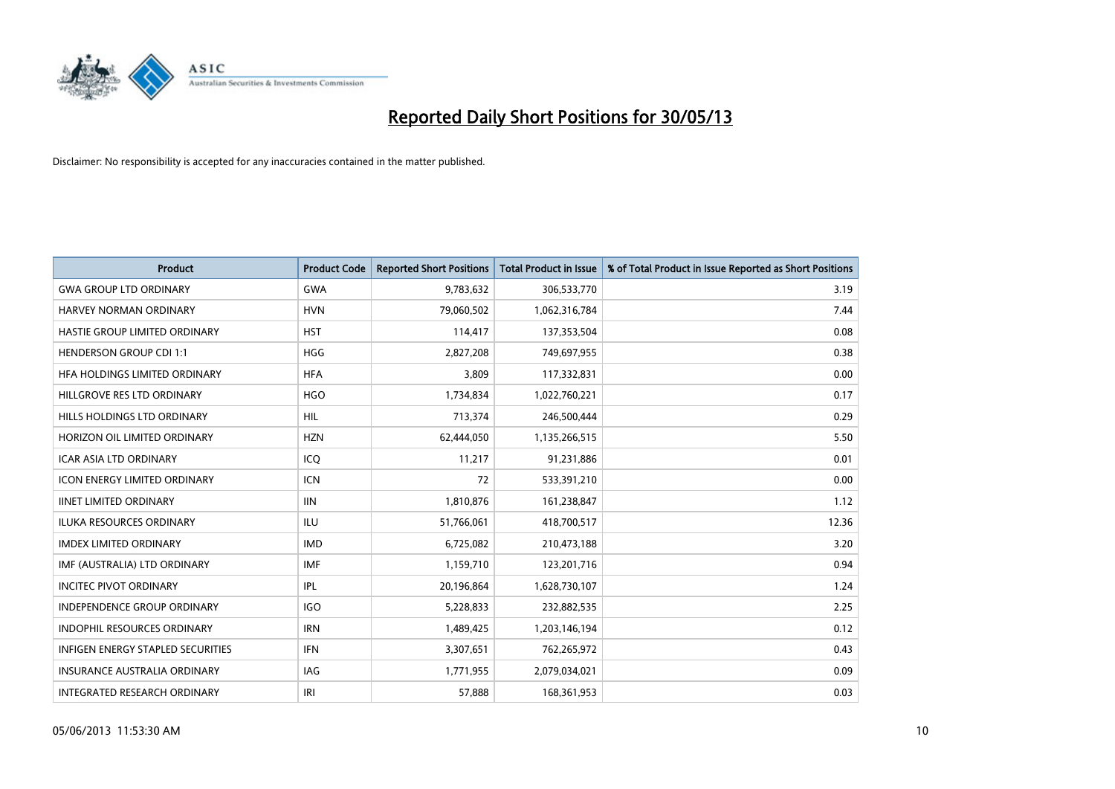

| <b>Product</b>                      | <b>Product Code</b> | <b>Reported Short Positions</b> | <b>Total Product in Issue</b> | % of Total Product in Issue Reported as Short Positions |
|-------------------------------------|---------------------|---------------------------------|-------------------------------|---------------------------------------------------------|
| <b>GWA GROUP LTD ORDINARY</b>       | <b>GWA</b>          | 9,783,632                       | 306,533,770                   | 3.19                                                    |
| HARVEY NORMAN ORDINARY              | <b>HVN</b>          | 79,060,502                      | 1,062,316,784                 | 7.44                                                    |
| HASTIE GROUP LIMITED ORDINARY       | <b>HST</b>          | 114,417                         | 137,353,504                   | 0.08                                                    |
| <b>HENDERSON GROUP CDI 1:1</b>      | <b>HGG</b>          | 2,827,208                       | 749,697,955                   | 0.38                                                    |
| HFA HOLDINGS LIMITED ORDINARY       | <b>HFA</b>          | 3,809                           | 117,332,831                   | 0.00                                                    |
| HILLGROVE RES LTD ORDINARY          | <b>HGO</b>          | 1,734,834                       | 1,022,760,221                 | 0.17                                                    |
| HILLS HOLDINGS LTD ORDINARY         | <b>HIL</b>          | 713,374                         | 246,500,444                   | 0.29                                                    |
| HORIZON OIL LIMITED ORDINARY        | <b>HZN</b>          | 62,444,050                      | 1,135,266,515                 | 5.50                                                    |
| <b>ICAR ASIA LTD ORDINARY</b>       | ICQ                 | 11,217                          | 91,231,886                    | 0.01                                                    |
| <b>ICON ENERGY LIMITED ORDINARY</b> | <b>ICN</b>          | 72                              | 533,391,210                   | 0.00                                                    |
| <b>IINET LIMITED ORDINARY</b>       | <b>IIN</b>          | 1,810,876                       | 161,238,847                   | 1.12                                                    |
| <b>ILUKA RESOURCES ORDINARY</b>     | ILU                 | 51,766,061                      | 418,700,517                   | 12.36                                                   |
| <b>IMDEX LIMITED ORDINARY</b>       | <b>IMD</b>          | 6,725,082                       | 210,473,188                   | 3.20                                                    |
| IMF (AUSTRALIA) LTD ORDINARY        | IMF                 | 1,159,710                       | 123,201,716                   | 0.94                                                    |
| <b>INCITEC PIVOT ORDINARY</b>       | IPL                 | 20,196,864                      | 1,628,730,107                 | 1.24                                                    |
| INDEPENDENCE GROUP ORDINARY         | <b>IGO</b>          | 5,228,833                       | 232,882,535                   | 2.25                                                    |
| INDOPHIL RESOURCES ORDINARY         | <b>IRN</b>          | 1,489,425                       | 1,203,146,194                 | 0.12                                                    |
| INFIGEN ENERGY STAPLED SECURITIES   | <b>IFN</b>          | 3,307,651                       | 762,265,972                   | 0.43                                                    |
| <b>INSURANCE AUSTRALIA ORDINARY</b> | <b>IAG</b>          | 1,771,955                       | 2,079,034,021                 | 0.09                                                    |
| INTEGRATED RESEARCH ORDINARY        | IRI                 | 57,888                          | 168,361,953                   | 0.03                                                    |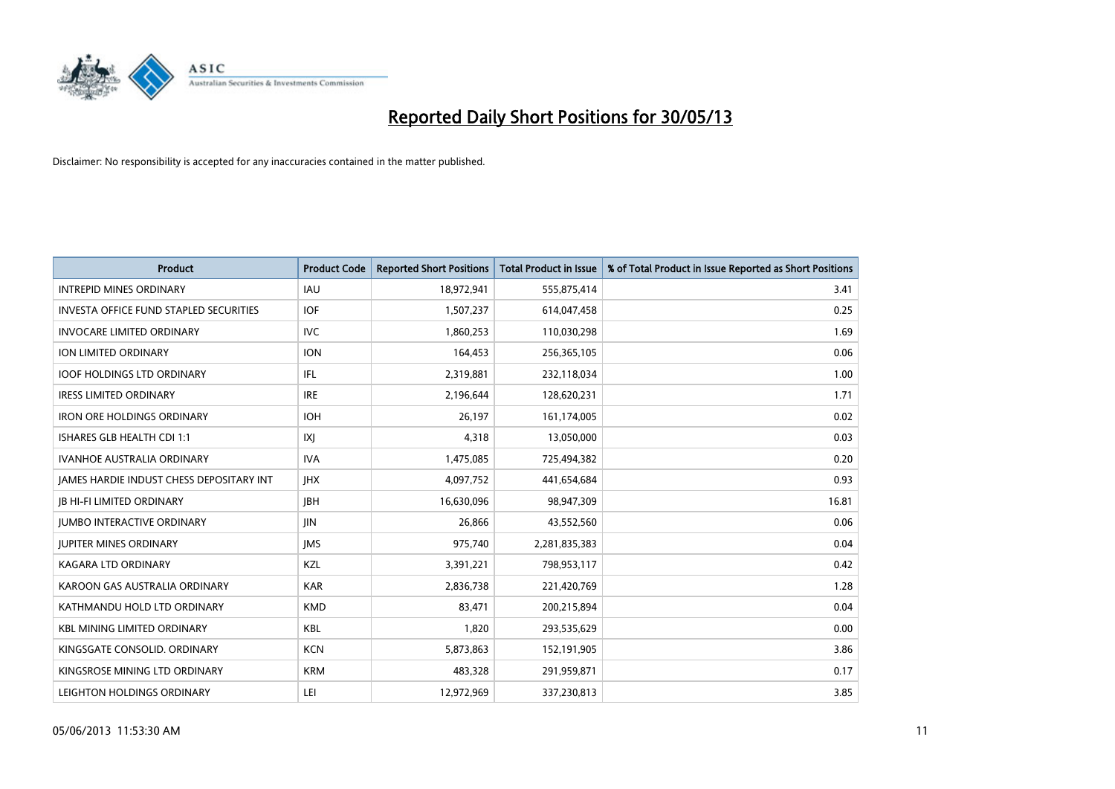

| Product                                         | <b>Product Code</b> | <b>Reported Short Positions</b> | <b>Total Product in Issue</b> | % of Total Product in Issue Reported as Short Positions |
|-------------------------------------------------|---------------------|---------------------------------|-------------------------------|---------------------------------------------------------|
| <b>INTREPID MINES ORDINARY</b>                  | IAU                 | 18,972,941                      | 555,875,414                   | 3.41                                                    |
| <b>INVESTA OFFICE FUND STAPLED SECURITIES</b>   | IOF                 | 1,507,237                       | 614,047,458                   | 0.25                                                    |
| <b>INVOCARE LIMITED ORDINARY</b>                | <b>IVC</b>          | 1,860,253                       | 110,030,298                   | 1.69                                                    |
| <b>ION LIMITED ORDINARY</b>                     | <b>ION</b>          | 164,453                         | 256,365,105                   | 0.06                                                    |
| <b>IOOF HOLDINGS LTD ORDINARY</b>               | IFL                 | 2,319,881                       | 232,118,034                   | 1.00                                                    |
| <b>IRESS LIMITED ORDINARY</b>                   | <b>IRE</b>          | 2,196,644                       | 128,620,231                   | 1.71                                                    |
| <b>IRON ORE HOLDINGS ORDINARY</b>               | <b>IOH</b>          | 26,197                          | 161,174,005                   | 0.02                                                    |
| ISHARES GLB HEALTH CDI 1:1                      | IXJ                 | 4,318                           | 13,050,000                    | 0.03                                                    |
| <b>IVANHOE AUSTRALIA ORDINARY</b>               | <b>IVA</b>          | 1,475,085                       | 725,494,382                   | 0.20                                                    |
| <b>JAMES HARDIE INDUST CHESS DEPOSITARY INT</b> | <b>IHX</b>          | 4,097,752                       | 441,654,684                   | 0.93                                                    |
| JB HI-FI LIMITED ORDINARY                       | <b>JBH</b>          | 16,630,096                      | 98,947,309                    | 16.81                                                   |
| <b>JUMBO INTERACTIVE ORDINARY</b>               | JIN                 | 26,866                          | 43,552,560                    | 0.06                                                    |
| <b>JUPITER MINES ORDINARY</b>                   | <b>IMS</b>          | 975,740                         | 2,281,835,383                 | 0.04                                                    |
| <b>KAGARA LTD ORDINARY</b>                      | KZL                 | 3,391,221                       | 798,953,117                   | 0.42                                                    |
| KAROON GAS AUSTRALIA ORDINARY                   | <b>KAR</b>          | 2,836,738                       | 221,420,769                   | 1.28                                                    |
| KATHMANDU HOLD LTD ORDINARY                     | <b>KMD</b>          | 83,471                          | 200,215,894                   | 0.04                                                    |
| <b>KBL MINING LIMITED ORDINARY</b>              | <b>KBL</b>          | 1,820                           | 293,535,629                   | 0.00                                                    |
| KINGSGATE CONSOLID, ORDINARY                    | <b>KCN</b>          | 5,873,863                       | 152,191,905                   | 3.86                                                    |
| KINGSROSE MINING LTD ORDINARY                   | <b>KRM</b>          | 483,328                         | 291,959,871                   | 0.17                                                    |
| LEIGHTON HOLDINGS ORDINARY                      | LEI                 | 12,972,969                      | 337,230,813                   | 3.85                                                    |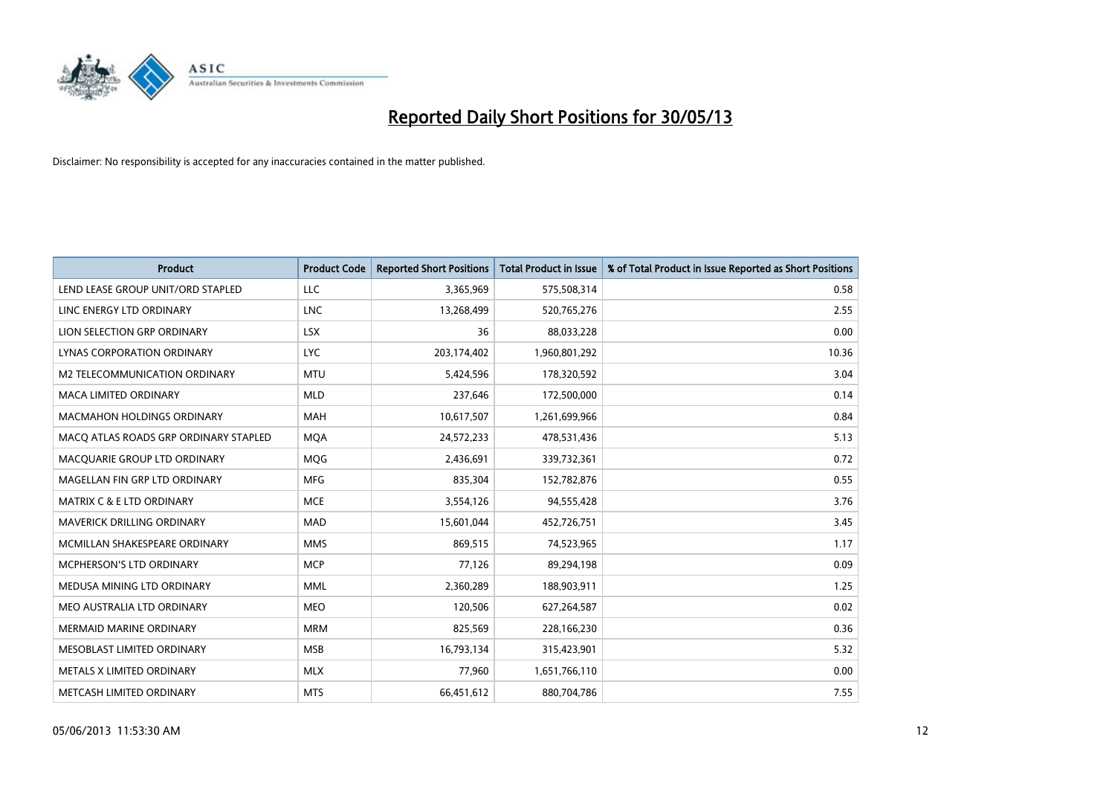

| <b>Product</b>                        | <b>Product Code</b> | <b>Reported Short Positions</b> | <b>Total Product in Issue</b> | % of Total Product in Issue Reported as Short Positions |
|---------------------------------------|---------------------|---------------------------------|-------------------------------|---------------------------------------------------------|
| LEND LEASE GROUP UNIT/ORD STAPLED     | LLC                 | 3,365,969                       | 575,508,314                   | 0.58                                                    |
| LINC ENERGY LTD ORDINARY              | LNC                 | 13,268,499                      | 520,765,276                   | 2.55                                                    |
| LION SELECTION GRP ORDINARY           | <b>LSX</b>          | 36                              | 88,033,228                    | 0.00                                                    |
| LYNAS CORPORATION ORDINARY            | <b>LYC</b>          | 203,174,402                     | 1,960,801,292                 | 10.36                                                   |
| M2 TELECOMMUNICATION ORDINARY         | <b>MTU</b>          | 5,424,596                       | 178,320,592                   | 3.04                                                    |
| <b>MACA LIMITED ORDINARY</b>          | <b>MLD</b>          | 237,646                         | 172,500,000                   | 0.14                                                    |
| MACMAHON HOLDINGS ORDINARY            | <b>MAH</b>          | 10,617,507                      | 1,261,699,966                 | 0.84                                                    |
| MACO ATLAS ROADS GRP ORDINARY STAPLED | <b>MQA</b>          | 24,572,233                      | 478,531,436                   | 5.13                                                    |
| MACQUARIE GROUP LTD ORDINARY          | <b>MOG</b>          | 2,436,691                       | 339,732,361                   | 0.72                                                    |
| MAGELLAN FIN GRP LTD ORDINARY         | <b>MFG</b>          | 835,304                         | 152,782,876                   | 0.55                                                    |
| <b>MATRIX C &amp; E LTD ORDINARY</b>  | <b>MCE</b>          | 3,554,126                       | 94,555,428                    | 3.76                                                    |
| <b>MAVERICK DRILLING ORDINARY</b>     | <b>MAD</b>          | 15,601,044                      | 452,726,751                   | 3.45                                                    |
| MCMILLAN SHAKESPEARE ORDINARY         | <b>MMS</b>          | 869,515                         | 74,523,965                    | 1.17                                                    |
| MCPHERSON'S LTD ORDINARY              | <b>MCP</b>          | 77,126                          | 89,294,198                    | 0.09                                                    |
| MEDUSA MINING LTD ORDINARY            | <b>MML</b>          | 2,360,289                       | 188,903,911                   | 1.25                                                    |
| MEO AUSTRALIA LTD ORDINARY            | <b>MEO</b>          | 120,506                         | 627,264,587                   | 0.02                                                    |
| MERMAID MARINE ORDINARY               | <b>MRM</b>          | 825,569                         | 228,166,230                   | 0.36                                                    |
| MESOBLAST LIMITED ORDINARY            | <b>MSB</b>          | 16,793,134                      | 315,423,901                   | 5.32                                                    |
| METALS X LIMITED ORDINARY             | <b>MLX</b>          | 77,960                          | 1,651,766,110                 | 0.00                                                    |
| METCASH LIMITED ORDINARY              | <b>MTS</b>          | 66,451,612                      | 880,704,786                   | 7.55                                                    |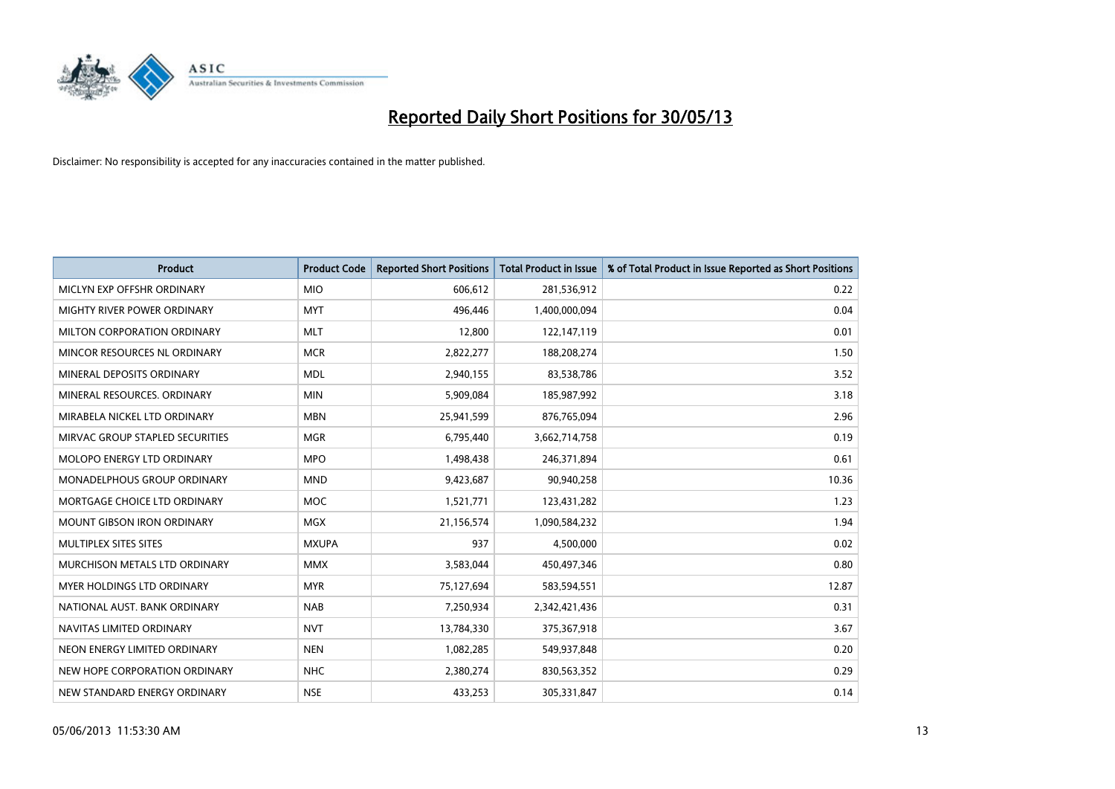

| <b>Product</b>                    | <b>Product Code</b> | <b>Reported Short Positions</b> | <b>Total Product in Issue</b> | % of Total Product in Issue Reported as Short Positions |
|-----------------------------------|---------------------|---------------------------------|-------------------------------|---------------------------------------------------------|
| MICLYN EXP OFFSHR ORDINARY        | <b>MIO</b>          | 606,612                         | 281,536,912                   | 0.22                                                    |
| MIGHTY RIVER POWER ORDINARY       | <b>MYT</b>          | 496,446                         | 1,400,000,094                 | 0.04                                                    |
| MILTON CORPORATION ORDINARY       | <b>MLT</b>          | 12,800                          | 122,147,119                   | 0.01                                                    |
| MINCOR RESOURCES NL ORDINARY      | <b>MCR</b>          | 2,822,277                       | 188,208,274                   | 1.50                                                    |
| MINERAL DEPOSITS ORDINARY         | <b>MDL</b>          | 2,940,155                       | 83,538,786                    | 3.52                                                    |
| MINERAL RESOURCES, ORDINARY       | <b>MIN</b>          | 5,909,084                       | 185,987,992                   | 3.18                                                    |
| MIRABELA NICKEL LTD ORDINARY      | <b>MBN</b>          | 25,941,599                      | 876,765,094                   | 2.96                                                    |
| MIRVAC GROUP STAPLED SECURITIES   | <b>MGR</b>          | 6,795,440                       | 3,662,714,758                 | 0.19                                                    |
| MOLOPO ENERGY LTD ORDINARY        | <b>MPO</b>          | 1,498,438                       | 246,371,894                   | 0.61                                                    |
| MONADELPHOUS GROUP ORDINARY       | <b>MND</b>          | 9,423,687                       | 90,940,258                    | 10.36                                                   |
| MORTGAGE CHOICE LTD ORDINARY      | MOC                 | 1,521,771                       | 123,431,282                   | 1.23                                                    |
| <b>MOUNT GIBSON IRON ORDINARY</b> | <b>MGX</b>          | 21,156,574                      | 1,090,584,232                 | 1.94                                                    |
| MULTIPLEX SITES SITES             | <b>MXUPA</b>        | 937                             | 4,500,000                     | 0.02                                                    |
| MURCHISON METALS LTD ORDINARY     | <b>MMX</b>          | 3,583,044                       | 450,497,346                   | 0.80                                                    |
| MYER HOLDINGS LTD ORDINARY        | <b>MYR</b>          | 75,127,694                      | 583,594,551                   | 12.87                                                   |
| NATIONAL AUST, BANK ORDINARY      | <b>NAB</b>          | 7,250,934                       | 2,342,421,436                 | 0.31                                                    |
| NAVITAS LIMITED ORDINARY          | <b>NVT</b>          | 13,784,330                      | 375,367,918                   | 3.67                                                    |
| NEON ENERGY LIMITED ORDINARY      | <b>NEN</b>          | 1,082,285                       | 549,937,848                   | 0.20                                                    |
| NEW HOPE CORPORATION ORDINARY     | <b>NHC</b>          | 2,380,274                       | 830,563,352                   | 0.29                                                    |
| NEW STANDARD ENERGY ORDINARY      | <b>NSE</b>          | 433,253                         | 305,331,847                   | 0.14                                                    |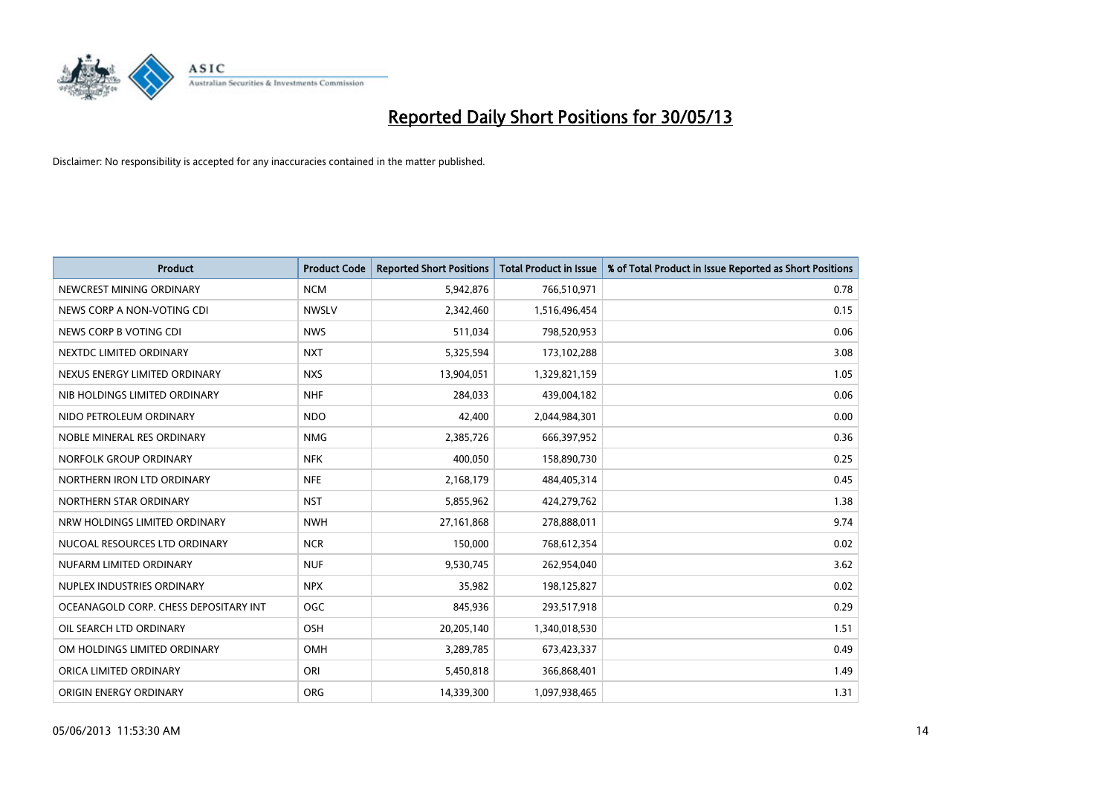

| <b>Product</b>                        | <b>Product Code</b> | <b>Reported Short Positions</b> | <b>Total Product in Issue</b> | % of Total Product in Issue Reported as Short Positions |
|---------------------------------------|---------------------|---------------------------------|-------------------------------|---------------------------------------------------------|
| NEWCREST MINING ORDINARY              | <b>NCM</b>          | 5,942,876                       | 766,510,971                   | 0.78                                                    |
| NEWS CORP A NON-VOTING CDI            | <b>NWSLV</b>        | 2,342,460                       | 1,516,496,454                 | 0.15                                                    |
| NEWS CORP B VOTING CDI                | <b>NWS</b>          | 511,034                         | 798,520,953                   | 0.06                                                    |
| NEXTDC LIMITED ORDINARY               | <b>NXT</b>          | 5,325,594                       | 173,102,288                   | 3.08                                                    |
| NEXUS ENERGY LIMITED ORDINARY         | <b>NXS</b>          | 13,904,051                      | 1,329,821,159                 | 1.05                                                    |
| NIB HOLDINGS LIMITED ORDINARY         | <b>NHF</b>          | 284,033                         | 439,004,182                   | 0.06                                                    |
| NIDO PETROLEUM ORDINARY               | <b>NDO</b>          | 42,400                          | 2,044,984,301                 | 0.00                                                    |
| NOBLE MINERAL RES ORDINARY            | <b>NMG</b>          | 2,385,726                       | 666,397,952                   | 0.36                                                    |
| NORFOLK GROUP ORDINARY                | <b>NFK</b>          | 400,050                         | 158,890,730                   | 0.25                                                    |
| NORTHERN IRON LTD ORDINARY            | <b>NFE</b>          | 2,168,179                       | 484,405,314                   | 0.45                                                    |
| NORTHERN STAR ORDINARY                | <b>NST</b>          | 5,855,962                       | 424,279,762                   | 1.38                                                    |
| NRW HOLDINGS LIMITED ORDINARY         | <b>NWH</b>          | 27,161,868                      | 278,888,011                   | 9.74                                                    |
| NUCOAL RESOURCES LTD ORDINARY         | <b>NCR</b>          | 150,000                         | 768,612,354                   | 0.02                                                    |
| NUFARM LIMITED ORDINARY               | <b>NUF</b>          | 9,530,745                       | 262,954,040                   | 3.62                                                    |
| NUPLEX INDUSTRIES ORDINARY            | <b>NPX</b>          | 35,982                          | 198,125,827                   | 0.02                                                    |
| OCEANAGOLD CORP. CHESS DEPOSITARY INT | <b>OGC</b>          | 845,936                         | 293,517,918                   | 0.29                                                    |
| OIL SEARCH LTD ORDINARY               | OSH                 | 20,205,140                      | 1,340,018,530                 | 1.51                                                    |
| OM HOLDINGS LIMITED ORDINARY          | OMH                 | 3,289,785                       | 673,423,337                   | 0.49                                                    |
| ORICA LIMITED ORDINARY                | ORI                 | 5,450,818                       | 366,868,401                   | 1.49                                                    |
| ORIGIN ENERGY ORDINARY                | <b>ORG</b>          | 14,339,300                      | 1,097,938,465                 | 1.31                                                    |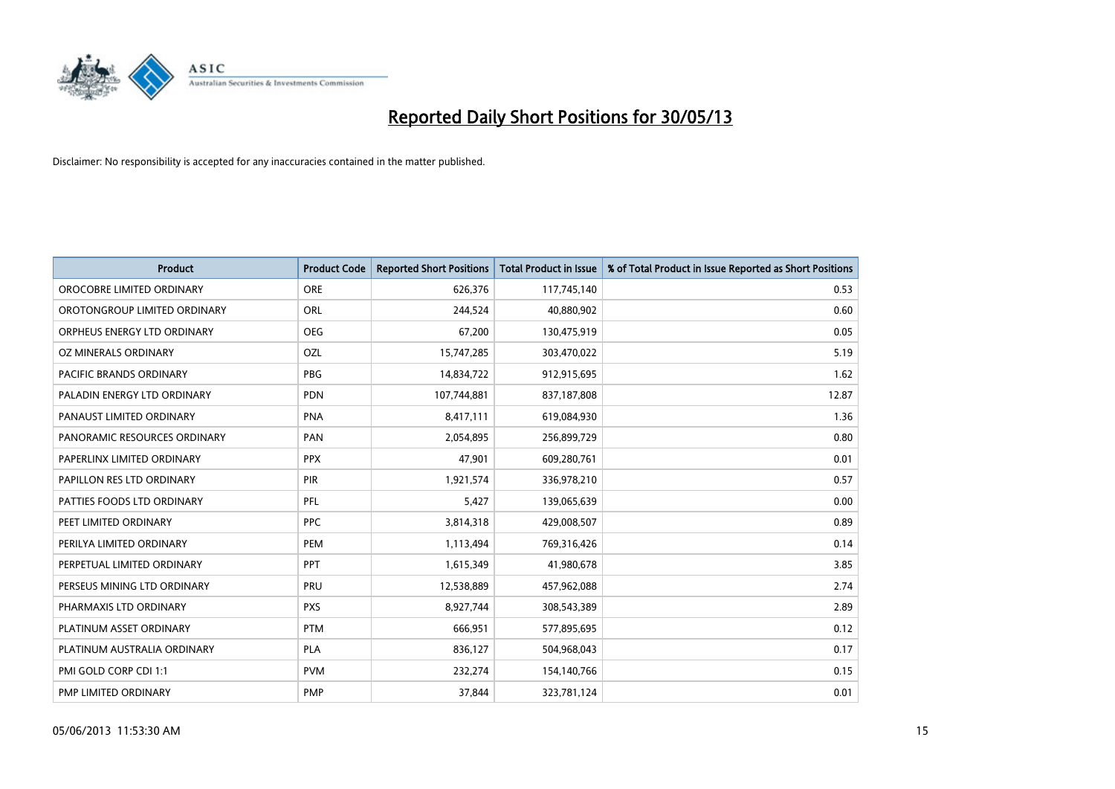

| <b>Product</b>                 | <b>Product Code</b> | <b>Reported Short Positions</b> | <b>Total Product in Issue</b> | % of Total Product in Issue Reported as Short Positions |
|--------------------------------|---------------------|---------------------------------|-------------------------------|---------------------------------------------------------|
| OROCOBRE LIMITED ORDINARY      | <b>ORE</b>          | 626,376                         | 117,745,140                   | 0.53                                                    |
| OROTONGROUP LIMITED ORDINARY   | <b>ORL</b>          | 244,524                         | 40,880,902                    | 0.60                                                    |
| ORPHEUS ENERGY LTD ORDINARY    | <b>OEG</b>          | 67,200                          | 130,475,919                   | 0.05                                                    |
| <b>OZ MINERALS ORDINARY</b>    | OZL                 | 15,747,285                      | 303,470,022                   | 5.19                                                    |
| <b>PACIFIC BRANDS ORDINARY</b> | <b>PBG</b>          | 14,834,722                      | 912,915,695                   | 1.62                                                    |
| PALADIN ENERGY LTD ORDINARY    | PDN                 | 107,744,881                     | 837,187,808                   | 12.87                                                   |
| PANAUST LIMITED ORDINARY       | <b>PNA</b>          | 8,417,111                       | 619,084,930                   | 1.36                                                    |
| PANORAMIC RESOURCES ORDINARY   | <b>PAN</b>          | 2,054,895                       | 256,899,729                   | 0.80                                                    |
| PAPERLINX LIMITED ORDINARY     | <b>PPX</b>          | 47,901                          | 609,280,761                   | 0.01                                                    |
| PAPILLON RES LTD ORDINARY      | PIR                 | 1,921,574                       | 336,978,210                   | 0.57                                                    |
| PATTIES FOODS LTD ORDINARY     | PFL                 | 5,427                           | 139,065,639                   | 0.00                                                    |
| PEET LIMITED ORDINARY          | <b>PPC</b>          | 3,814,318                       | 429,008,507                   | 0.89                                                    |
| PERILYA LIMITED ORDINARY       | PEM                 | 1,113,494                       | 769,316,426                   | 0.14                                                    |
| PERPETUAL LIMITED ORDINARY     | <b>PPT</b>          | 1,615,349                       | 41,980,678                    | 3.85                                                    |
| PERSEUS MINING LTD ORDINARY    | PRU                 | 12,538,889                      | 457,962,088                   | 2.74                                                    |
| PHARMAXIS LTD ORDINARY         | <b>PXS</b>          | 8,927,744                       | 308,543,389                   | 2.89                                                    |
| PLATINUM ASSET ORDINARY        | <b>PTM</b>          | 666,951                         | 577,895,695                   | 0.12                                                    |
| PLATINUM AUSTRALIA ORDINARY    | <b>PLA</b>          | 836,127                         | 504,968,043                   | 0.17                                                    |
| PMI GOLD CORP CDI 1:1          | <b>PVM</b>          | 232,274                         | 154,140,766                   | 0.15                                                    |
| PMP LIMITED ORDINARY           | <b>PMP</b>          | 37,844                          | 323,781,124                   | 0.01                                                    |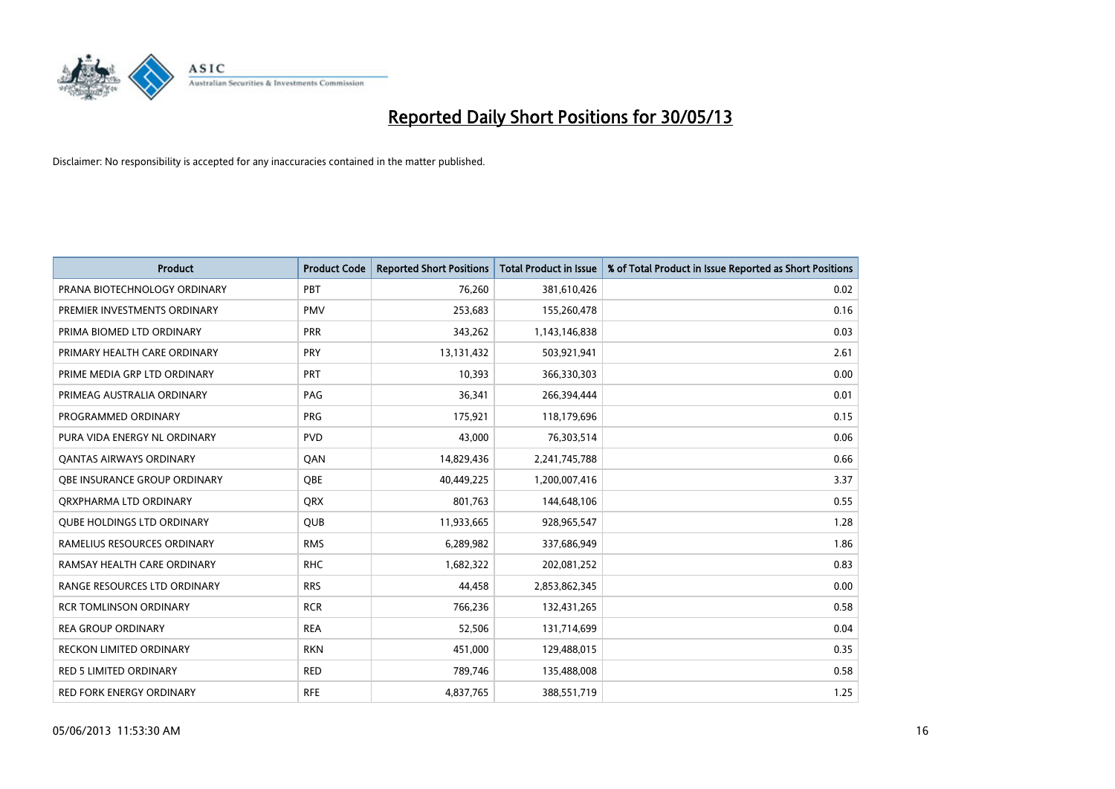

| <b>Product</b>                    | <b>Product Code</b> | <b>Reported Short Positions</b> | <b>Total Product in Issue</b> | % of Total Product in Issue Reported as Short Positions |
|-----------------------------------|---------------------|---------------------------------|-------------------------------|---------------------------------------------------------|
| PRANA BIOTECHNOLOGY ORDINARY      | PBT                 | 76,260                          | 381,610,426                   | 0.02                                                    |
| PREMIER INVESTMENTS ORDINARY      | <b>PMV</b>          | 253,683                         | 155,260,478                   | 0.16                                                    |
| PRIMA BIOMED LTD ORDINARY         | <b>PRR</b>          | 343,262                         | 1,143,146,838                 | 0.03                                                    |
| PRIMARY HEALTH CARE ORDINARY      | <b>PRY</b>          | 13,131,432                      | 503,921,941                   | 2.61                                                    |
| PRIME MEDIA GRP LTD ORDINARY      | <b>PRT</b>          | 10,393                          | 366,330,303                   | 0.00                                                    |
| PRIMEAG AUSTRALIA ORDINARY        | PAG                 | 36,341                          | 266,394,444                   | 0.01                                                    |
| PROGRAMMED ORDINARY               | <b>PRG</b>          | 175,921                         | 118,179,696                   | 0.15                                                    |
| PURA VIDA ENERGY NL ORDINARY      | <b>PVD</b>          | 43,000                          | 76,303,514                    | 0.06                                                    |
| <b>QANTAS AIRWAYS ORDINARY</b>    | QAN                 | 14,829,436                      | 2,241,745,788                 | 0.66                                                    |
| OBE INSURANCE GROUP ORDINARY      | <b>OBE</b>          | 40,449,225                      | 1,200,007,416                 | 3.37                                                    |
| ORXPHARMA LTD ORDINARY            | <b>QRX</b>          | 801,763                         | 144,648,106                   | 0.55                                                    |
| <b>QUBE HOLDINGS LTD ORDINARY</b> | QUB                 | 11,933,665                      | 928,965,547                   | 1.28                                                    |
| RAMELIUS RESOURCES ORDINARY       | <b>RMS</b>          | 6,289,982                       | 337,686,949                   | 1.86                                                    |
| RAMSAY HEALTH CARE ORDINARY       | <b>RHC</b>          | 1,682,322                       | 202,081,252                   | 0.83                                                    |
| RANGE RESOURCES LTD ORDINARY      | <b>RRS</b>          | 44,458                          | 2,853,862,345                 | 0.00                                                    |
| <b>RCR TOMLINSON ORDINARY</b>     | <b>RCR</b>          | 766,236                         | 132,431,265                   | 0.58                                                    |
| <b>REA GROUP ORDINARY</b>         | <b>REA</b>          | 52,506                          | 131,714,699                   | 0.04                                                    |
| RECKON LIMITED ORDINARY           | <b>RKN</b>          | 451,000                         | 129,488,015                   | 0.35                                                    |
| <b>RED 5 LIMITED ORDINARY</b>     | <b>RED</b>          | 789,746                         | 135,488,008                   | 0.58                                                    |
| RED FORK ENERGY ORDINARY          | <b>RFE</b>          | 4,837,765                       | 388,551,719                   | 1.25                                                    |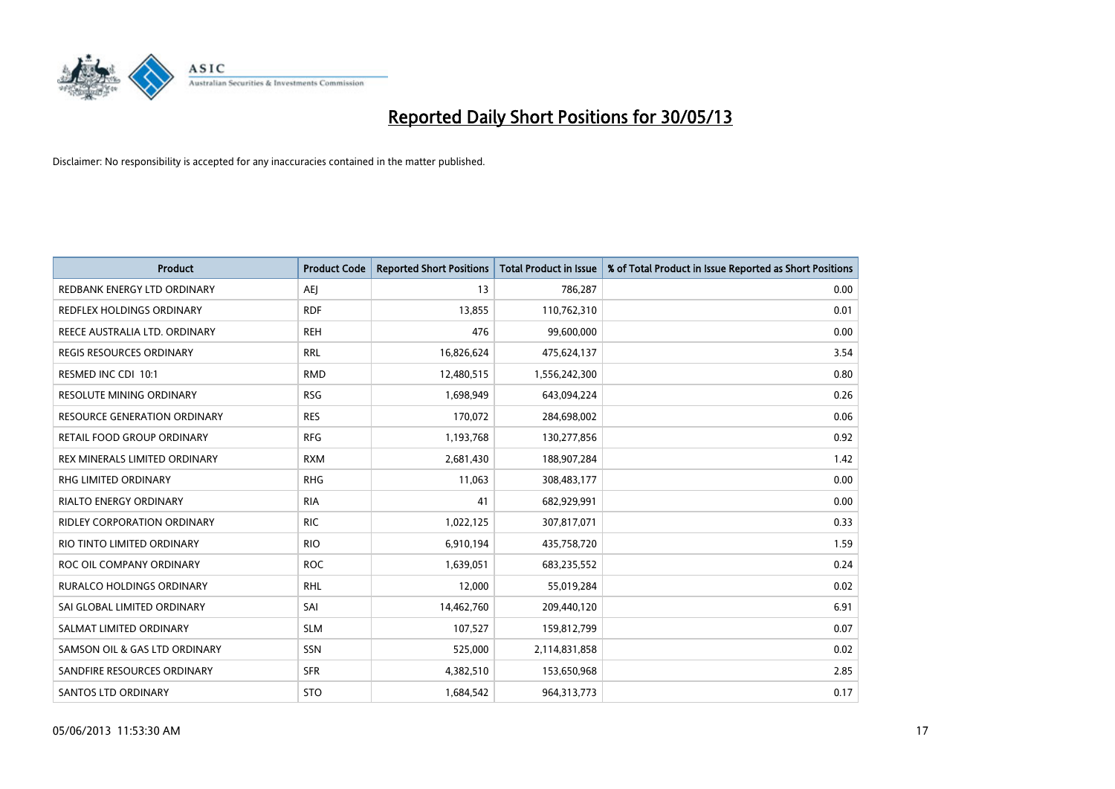

| Product                            | <b>Product Code</b> | <b>Reported Short Positions</b> | <b>Total Product in Issue</b> | % of Total Product in Issue Reported as Short Positions |
|------------------------------------|---------------------|---------------------------------|-------------------------------|---------------------------------------------------------|
| REDBANK ENERGY LTD ORDINARY        | <b>AEI</b>          | 13                              | 786,287                       | 0.00                                                    |
| <b>REDFLEX HOLDINGS ORDINARY</b>   | <b>RDF</b>          | 13,855                          | 110,762,310                   | 0.01                                                    |
| REECE AUSTRALIA LTD. ORDINARY      | <b>REH</b>          | 476                             | 99,600,000                    | 0.00                                                    |
| REGIS RESOURCES ORDINARY           | <b>RRL</b>          | 16,826,624                      | 475,624,137                   | 3.54                                                    |
| RESMED INC CDI 10:1                | <b>RMD</b>          | 12,480,515                      | 1,556,242,300                 | 0.80                                                    |
| <b>RESOLUTE MINING ORDINARY</b>    | <b>RSG</b>          | 1,698,949                       | 643,094,224                   | 0.26                                                    |
| RESOURCE GENERATION ORDINARY       | <b>RES</b>          | 170,072                         | 284,698,002                   | 0.06                                                    |
| RETAIL FOOD GROUP ORDINARY         | <b>RFG</b>          | 1,193,768                       | 130,277,856                   | 0.92                                                    |
| REX MINERALS LIMITED ORDINARY      | <b>RXM</b>          | 2,681,430                       | 188,907,284                   | 1.42                                                    |
| RHG LIMITED ORDINARY               | <b>RHG</b>          | 11,063                          | 308,483,177                   | 0.00                                                    |
| RIALTO ENERGY ORDINARY             | <b>RIA</b>          | 41                              | 682,929,991                   | 0.00                                                    |
| <b>RIDLEY CORPORATION ORDINARY</b> | <b>RIC</b>          | 1,022,125                       | 307,817,071                   | 0.33                                                    |
| RIO TINTO LIMITED ORDINARY         | <b>RIO</b>          | 6,910,194                       | 435,758,720                   | 1.59                                                    |
| ROC OIL COMPANY ORDINARY           | <b>ROC</b>          | 1,639,051                       | 683,235,552                   | 0.24                                                    |
| <b>RURALCO HOLDINGS ORDINARY</b>   | <b>RHL</b>          | 12,000                          | 55,019,284                    | 0.02                                                    |
| SAI GLOBAL LIMITED ORDINARY        | SAI                 | 14,462,760                      | 209,440,120                   | 6.91                                                    |
| SALMAT LIMITED ORDINARY            | <b>SLM</b>          | 107,527                         | 159,812,799                   | 0.07                                                    |
| SAMSON OIL & GAS LTD ORDINARY      | SSN                 | 525,000                         | 2,114,831,858                 | 0.02                                                    |
| SANDFIRE RESOURCES ORDINARY        | <b>SFR</b>          | 4,382,510                       | 153,650,968                   | 2.85                                                    |
| <b>SANTOS LTD ORDINARY</b>         | <b>STO</b>          | 1,684,542                       | 964,313,773                   | 0.17                                                    |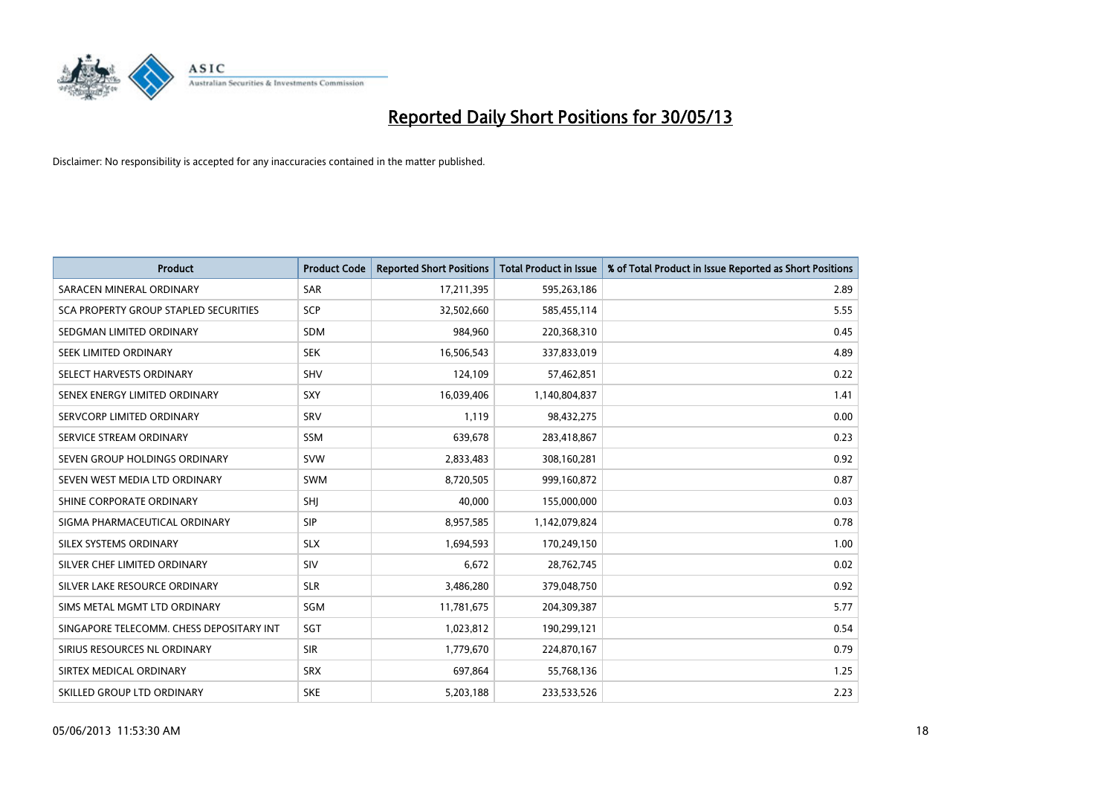

| <b>Product</b>                           | <b>Product Code</b> | <b>Reported Short Positions</b> | <b>Total Product in Issue</b> | % of Total Product in Issue Reported as Short Positions |
|------------------------------------------|---------------------|---------------------------------|-------------------------------|---------------------------------------------------------|
| SARACEN MINERAL ORDINARY                 | <b>SAR</b>          | 17,211,395                      | 595,263,186                   | 2.89                                                    |
| SCA PROPERTY GROUP STAPLED SECURITIES    | SCP                 | 32,502,660                      | 585,455,114                   | 5.55                                                    |
| SEDGMAN LIMITED ORDINARY                 | <b>SDM</b>          | 984,960                         | 220,368,310                   | 0.45                                                    |
| SEEK LIMITED ORDINARY                    | <b>SEK</b>          | 16,506,543                      | 337,833,019                   | 4.89                                                    |
| SELECT HARVESTS ORDINARY                 | SHV                 | 124,109                         | 57,462,851                    | 0.22                                                    |
| SENEX ENERGY LIMITED ORDINARY            | SXY                 | 16,039,406                      | 1,140,804,837                 | 1.41                                                    |
| SERVCORP LIMITED ORDINARY                | SRV                 | 1,119                           | 98,432,275                    | 0.00                                                    |
| SERVICE STREAM ORDINARY                  | <b>SSM</b>          | 639,678                         | 283,418,867                   | 0.23                                                    |
| SEVEN GROUP HOLDINGS ORDINARY            | <b>SVW</b>          | 2,833,483                       | 308,160,281                   | 0.92                                                    |
| SEVEN WEST MEDIA LTD ORDINARY            | <b>SWM</b>          | 8,720,505                       | 999,160,872                   | 0.87                                                    |
| SHINE CORPORATE ORDINARY                 | SHI                 | 40,000                          | 155,000,000                   | 0.03                                                    |
| SIGMA PHARMACEUTICAL ORDINARY            | <b>SIP</b>          | 8,957,585                       | 1,142,079,824                 | 0.78                                                    |
| SILEX SYSTEMS ORDINARY                   | <b>SLX</b>          | 1,694,593                       | 170,249,150                   | 1.00                                                    |
| SILVER CHEF LIMITED ORDINARY             | SIV                 | 6,672                           | 28,762,745                    | 0.02                                                    |
| SILVER LAKE RESOURCE ORDINARY            | <b>SLR</b>          | 3,486,280                       | 379,048,750                   | 0.92                                                    |
| SIMS METAL MGMT LTD ORDINARY             | SGM                 | 11,781,675                      | 204,309,387                   | 5.77                                                    |
| SINGAPORE TELECOMM. CHESS DEPOSITARY INT | SGT                 | 1,023,812                       | 190,299,121                   | 0.54                                                    |
| SIRIUS RESOURCES NL ORDINARY             | <b>SIR</b>          | 1,779,670                       | 224,870,167                   | 0.79                                                    |
| SIRTEX MEDICAL ORDINARY                  | <b>SRX</b>          | 697,864                         | 55,768,136                    | 1.25                                                    |
| SKILLED GROUP LTD ORDINARY               | <b>SKE</b>          | 5,203,188                       | 233,533,526                   | 2.23                                                    |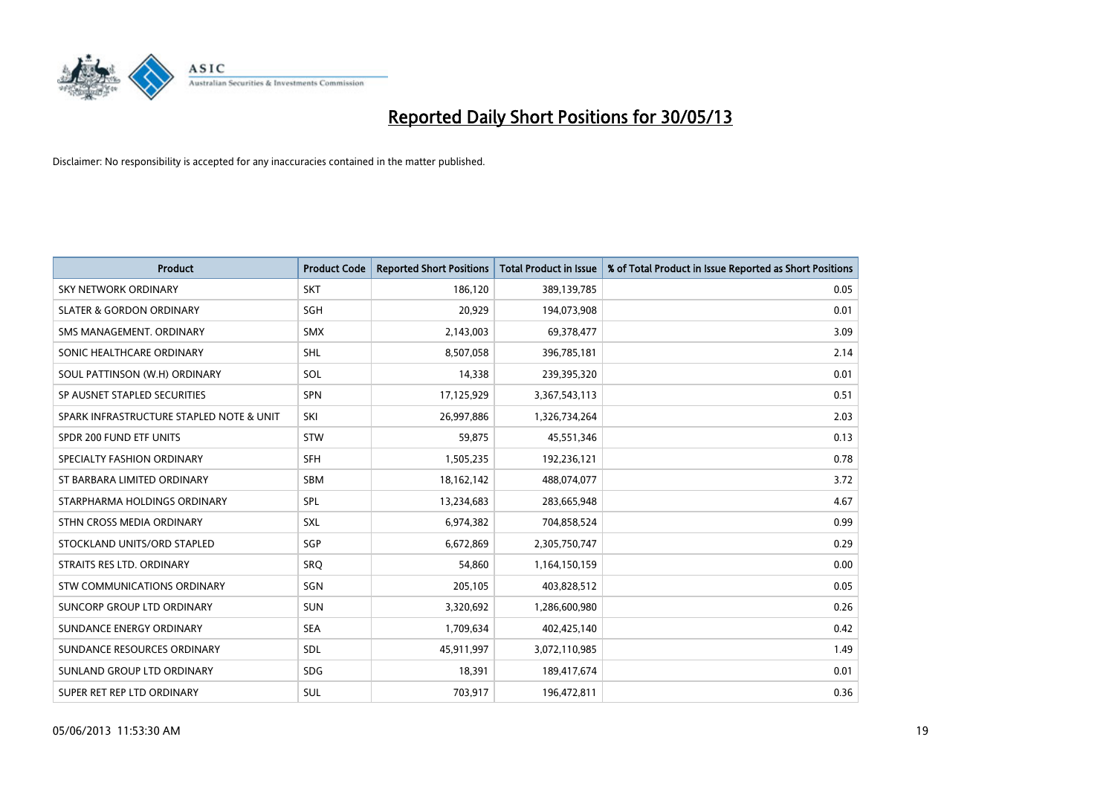

| <b>Product</b>                           | <b>Product Code</b> | <b>Reported Short Positions</b> | <b>Total Product in Issue</b> | % of Total Product in Issue Reported as Short Positions |
|------------------------------------------|---------------------|---------------------------------|-------------------------------|---------------------------------------------------------|
| <b>SKY NETWORK ORDINARY</b>              | <b>SKT</b>          | 186,120                         | 389,139,785                   | 0.05                                                    |
| <b>SLATER &amp; GORDON ORDINARY</b>      | SGH                 | 20,929                          | 194,073,908                   | 0.01                                                    |
| SMS MANAGEMENT, ORDINARY                 | <b>SMX</b>          | 2,143,003                       | 69,378,477                    | 3.09                                                    |
| SONIC HEALTHCARE ORDINARY                | <b>SHL</b>          | 8,507,058                       | 396,785,181                   | 2.14                                                    |
| SOUL PATTINSON (W.H) ORDINARY            | SOL                 | 14,338                          | 239,395,320                   | 0.01                                                    |
| SP AUSNET STAPLED SECURITIES             | <b>SPN</b>          | 17,125,929                      | 3,367,543,113                 | 0.51                                                    |
| SPARK INFRASTRUCTURE STAPLED NOTE & UNIT | SKI                 | 26,997,886                      | 1,326,734,264                 | 2.03                                                    |
| SPDR 200 FUND ETF UNITS                  | STW                 | 59,875                          | 45,551,346                    | 0.13                                                    |
| SPECIALTY FASHION ORDINARY               | SFH                 | 1,505,235                       | 192,236,121                   | 0.78                                                    |
| ST BARBARA LIMITED ORDINARY              | <b>SBM</b>          | 18,162,142                      | 488,074,077                   | 3.72                                                    |
| STARPHARMA HOLDINGS ORDINARY             | SPL                 | 13,234,683                      | 283,665,948                   | 4.67                                                    |
| STHN CROSS MEDIA ORDINARY                | <b>SXL</b>          | 6,974,382                       | 704,858,524                   | 0.99                                                    |
| STOCKLAND UNITS/ORD STAPLED              | SGP                 | 6,672,869                       | 2,305,750,747                 | 0.29                                                    |
| STRAITS RES LTD. ORDINARY                | SRQ                 | 54,860                          | 1,164,150,159                 | 0.00                                                    |
| STW COMMUNICATIONS ORDINARY              | SGN                 | 205,105                         | 403,828,512                   | 0.05                                                    |
| SUNCORP GROUP LTD ORDINARY               | <b>SUN</b>          | 3,320,692                       | 1,286,600,980                 | 0.26                                                    |
| SUNDANCE ENERGY ORDINARY                 | <b>SEA</b>          | 1,709,634                       | 402,425,140                   | 0.42                                                    |
| SUNDANCE RESOURCES ORDINARY              | <b>SDL</b>          | 45,911,997                      | 3,072,110,985                 | 1.49                                                    |
| SUNLAND GROUP LTD ORDINARY               | <b>SDG</b>          | 18,391                          | 189,417,674                   | 0.01                                                    |
| SUPER RET REP LTD ORDINARY               | SUL                 | 703,917                         | 196,472,811                   | 0.36                                                    |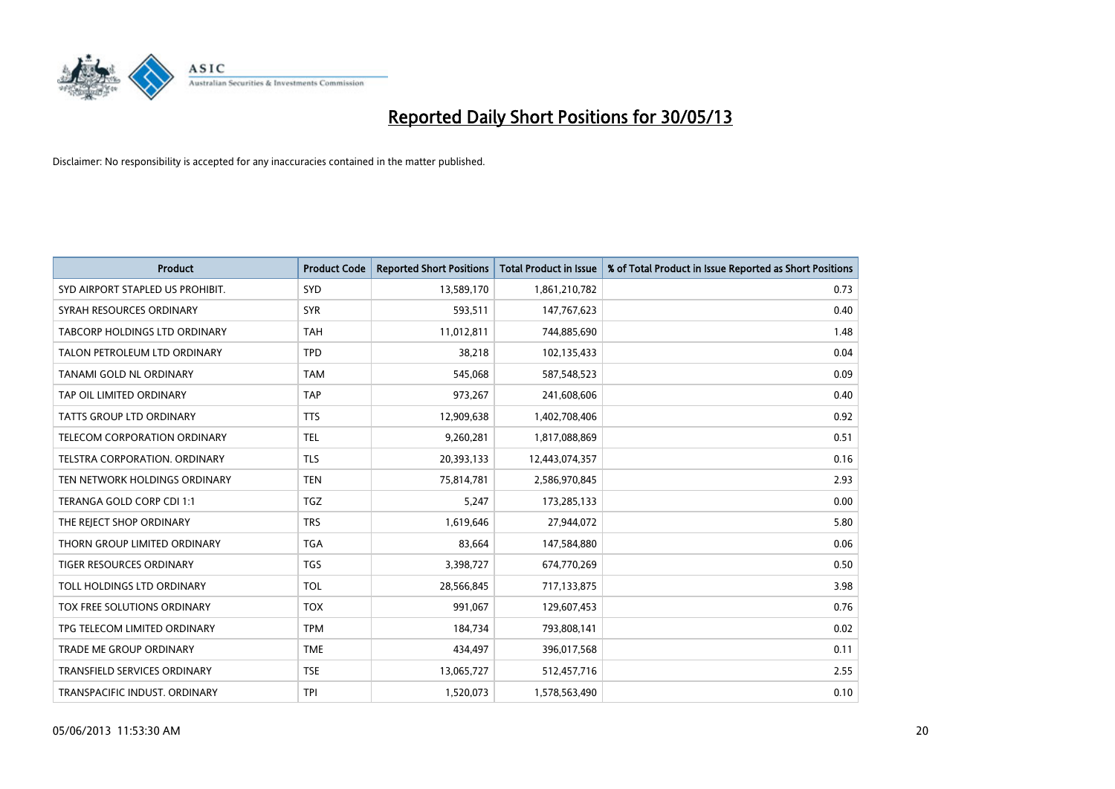

| <b>Product</b>                       | <b>Product Code</b> | <b>Reported Short Positions</b> | <b>Total Product in Issue</b> | % of Total Product in Issue Reported as Short Positions |
|--------------------------------------|---------------------|---------------------------------|-------------------------------|---------------------------------------------------------|
| SYD AIRPORT STAPLED US PROHIBIT.     | <b>SYD</b>          | 13,589,170                      | 1,861,210,782                 | 0.73                                                    |
| SYRAH RESOURCES ORDINARY             | <b>SYR</b>          | 593,511                         | 147,767,623                   | 0.40                                                    |
| <b>TABCORP HOLDINGS LTD ORDINARY</b> | <b>TAH</b>          | 11,012,811                      | 744,885,690                   | 1.48                                                    |
| TALON PETROLEUM LTD ORDINARY         | <b>TPD</b>          | 38,218                          | 102,135,433                   | 0.04                                                    |
| TANAMI GOLD NL ORDINARY              | <b>TAM</b>          | 545,068                         | 587,548,523                   | 0.09                                                    |
| TAP OIL LIMITED ORDINARY             | <b>TAP</b>          | 973,267                         | 241,608,606                   | 0.40                                                    |
| <b>TATTS GROUP LTD ORDINARY</b>      | <b>TTS</b>          | 12,909,638                      | 1,402,708,406                 | 0.92                                                    |
| TELECOM CORPORATION ORDINARY         | <b>TEL</b>          | 9,260,281                       | 1,817,088,869                 | 0.51                                                    |
| TELSTRA CORPORATION. ORDINARY        | <b>TLS</b>          | 20,393,133                      | 12,443,074,357                | 0.16                                                    |
| TEN NETWORK HOLDINGS ORDINARY        | <b>TEN</b>          | 75,814,781                      | 2,586,970,845                 | 2.93                                                    |
| TERANGA GOLD CORP CDI 1:1            | <b>TGZ</b>          | 5,247                           | 173,285,133                   | 0.00                                                    |
| THE REJECT SHOP ORDINARY             | <b>TRS</b>          | 1,619,646                       | 27,944,072                    | 5.80                                                    |
| THORN GROUP LIMITED ORDINARY         | <b>TGA</b>          | 83,664                          | 147,584,880                   | 0.06                                                    |
| <b>TIGER RESOURCES ORDINARY</b>      | <b>TGS</b>          | 3,398,727                       | 674,770,269                   | 0.50                                                    |
| TOLL HOLDINGS LTD ORDINARY           | <b>TOL</b>          | 28,566,845                      | 717,133,875                   | 3.98                                                    |
| TOX FREE SOLUTIONS ORDINARY          | <b>TOX</b>          | 991,067                         | 129,607,453                   | 0.76                                                    |
| TPG TELECOM LIMITED ORDINARY         | <b>TPM</b>          | 184,734                         | 793,808,141                   | 0.02                                                    |
| TRADE ME GROUP ORDINARY              | <b>TME</b>          | 434,497                         | 396,017,568                   | 0.11                                                    |
| <b>TRANSFIELD SERVICES ORDINARY</b>  | <b>TSE</b>          | 13,065,727                      | 512,457,716                   | 2.55                                                    |
| TRANSPACIFIC INDUST. ORDINARY        | <b>TPI</b>          | 1,520,073                       | 1,578,563,490                 | 0.10                                                    |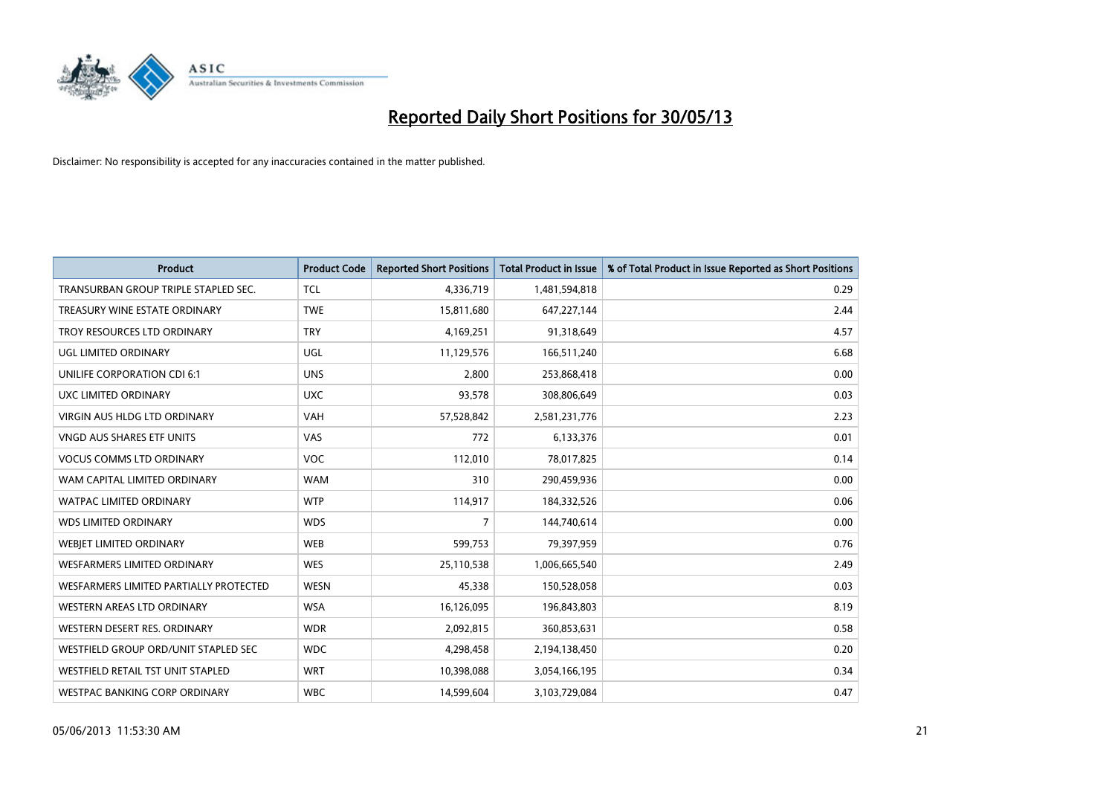

| <b>Product</b>                         | <b>Product Code</b> | <b>Reported Short Positions</b> | <b>Total Product in Issue</b> | % of Total Product in Issue Reported as Short Positions |
|----------------------------------------|---------------------|---------------------------------|-------------------------------|---------------------------------------------------------|
| TRANSURBAN GROUP TRIPLE STAPLED SEC.   | <b>TCL</b>          | 4,336,719                       | 1,481,594,818                 | 0.29                                                    |
| TREASURY WINE ESTATE ORDINARY          | <b>TWE</b>          | 15,811,680                      | 647,227,144                   | 2.44                                                    |
| TROY RESOURCES LTD ORDINARY            | <b>TRY</b>          | 4,169,251                       | 91,318,649                    | 4.57                                                    |
| <b>UGL LIMITED ORDINARY</b>            | UGL                 | 11,129,576                      | 166,511,240                   | 6.68                                                    |
| UNILIFE CORPORATION CDI 6:1            | <b>UNS</b>          | 2,800                           | 253,868,418                   | 0.00                                                    |
| UXC LIMITED ORDINARY                   | <b>UXC</b>          | 93,578                          | 308,806,649                   | 0.03                                                    |
| VIRGIN AUS HLDG LTD ORDINARY           | <b>VAH</b>          | 57,528,842                      | 2,581,231,776                 | 2.23                                                    |
| VNGD AUS SHARES ETF UNITS              | VAS                 | 772                             | 6,133,376                     | 0.01                                                    |
| <b>VOCUS COMMS LTD ORDINARY</b>        | <b>VOC</b>          | 112,010                         | 78,017,825                    | 0.14                                                    |
| WAM CAPITAL LIMITED ORDINARY           | <b>WAM</b>          | 310                             | 290,459,936                   | 0.00                                                    |
| <b>WATPAC LIMITED ORDINARY</b>         | <b>WTP</b>          | 114,917                         | 184,332,526                   | 0.06                                                    |
| <b>WDS LIMITED ORDINARY</b>            | <b>WDS</b>          | $\overline{7}$                  | 144,740,614                   | 0.00                                                    |
| <b>WEBIET LIMITED ORDINARY</b>         | <b>WEB</b>          | 599,753                         | 79,397,959                    | 0.76                                                    |
| WESFARMERS LIMITED ORDINARY            | <b>WES</b>          | 25,110,538                      | 1,006,665,540                 | 2.49                                                    |
| WESFARMERS LIMITED PARTIALLY PROTECTED | <b>WESN</b>         | 45,338                          | 150,528,058                   | 0.03                                                    |
| WESTERN AREAS LTD ORDINARY             | <b>WSA</b>          | 16,126,095                      | 196,843,803                   | 8.19                                                    |
| WESTERN DESERT RES. ORDINARY           | <b>WDR</b>          | 2,092,815                       | 360,853,631                   | 0.58                                                    |
| WESTFIELD GROUP ORD/UNIT STAPLED SEC   | <b>WDC</b>          | 4,298,458                       | 2,194,138,450                 | 0.20                                                    |
| WESTFIELD RETAIL TST UNIT STAPLED      | <b>WRT</b>          | 10,398,088                      | 3,054,166,195                 | 0.34                                                    |
| WESTPAC BANKING CORP ORDINARY          | <b>WBC</b>          | 14,599,604                      | 3,103,729,084                 | 0.47                                                    |